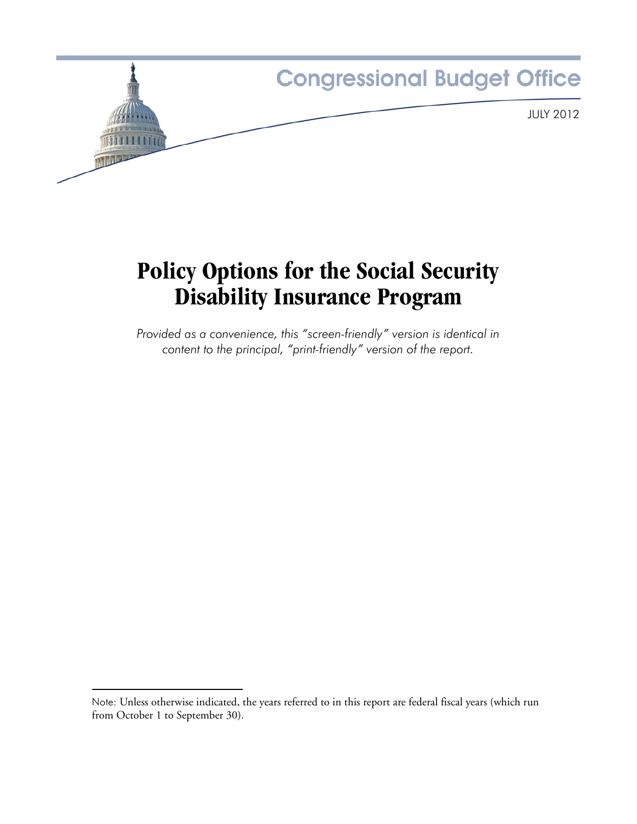

# **Policy Options for the Social Security Disability Insurance Program**

*Provided as a convenience, this "screen-friendly" version is identical in content to the principal, "print-friendly" version of the report.*

Note: Unless otherwise indicated, the years referred to in this report are federal fiscal years (which run from October 1 to September 30).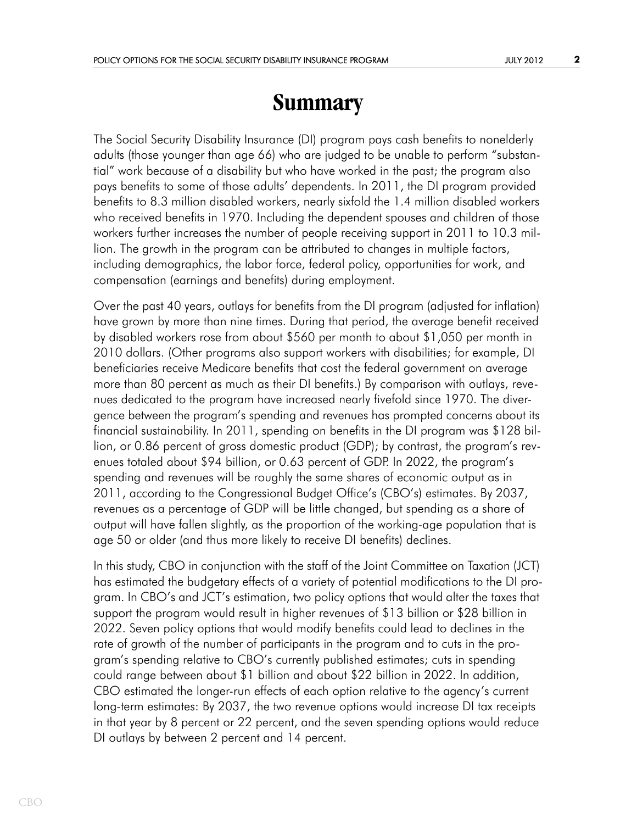# **Summary**

The Social Security Disability Insurance (DI) program pays cash benefits to nonelderly adults (those younger than age 66) who are judged to be unable to perform "substantial" work because of a disability but who have worked in the past; the program also pays benefits to some of those adults' dependents. In 2011, the DI program provided benefits to 8.3 million disabled workers, nearly sixfold the 1.4 million disabled workers who received benefits in 1970. Including the dependent spouses and children of those workers further increases the number of people receiving support in 2011 to 10.3 million. The growth in the program can be attributed to changes in multiple factors, including demographics, the labor force, federal policy, opportunities for work, and compensation (earnings and benefits) during employment.

Over the past 40 years, outlays for benefits from the DI program (adjusted for inflation) have grown by more than nine times. During that period, the average benefit received by disabled workers rose from about \$560 per month to about \$1,050 per month in 2010 dollars. (Other programs also support workers with disabilities; for example, DI beneficiaries receive Medicare benefits that cost the federal government on average more than 80 percent as much as their DI benefits.) By comparison with outlays, revenues dedicated to the program have increased nearly fivefold since 1970. The divergence between the program's spending and revenues has prompted concerns about its financial sustainability. In 2011, spending on benefits in the DI program was \$128 billion, or 0.86 percent of gross domestic product (GDP); by contrast, the program's revenues totaled about \$94 billion, or 0.63 percent of GDP. In 2022, the program's spending and revenues will be roughly the same shares of economic output as in 2011, according to the Congressional Budget Office's (CBO's) estimates. By 2037, revenues as a percentage of GDP will be little changed, but spending as a share of output will have fallen slightly, as the proportion of the working-age population that is age 50 or older (and thus more likely to receive DI benefits) declines.

In this study, CBO in conjunction with the staff of the Joint Committee on Taxation (JCT) has estimated the budgetary effects of a variety of potential modifications to the DI program. In CBO's and JCT's estimation, two policy options that would alter the taxes that support the program would result in higher revenues of \$13 billion or \$28 billion in 2022. Seven policy options that would modify benefits could lead to declines in the rate of growth of the number of participants in the program and to cuts in the program's spending relative to CBO's currently published estimates; cuts in spending could range between about \$1 billion and about \$22 billion in 2022. In addition, CBO estimated the longer-run effects of each option relative to the agency's current long-term estimates: By 2037, the two revenue options would increase DI tax receipts in that year by 8 percent or 22 percent, and the seven spending options would reduce DI outlays by between 2 percent and 14 percent.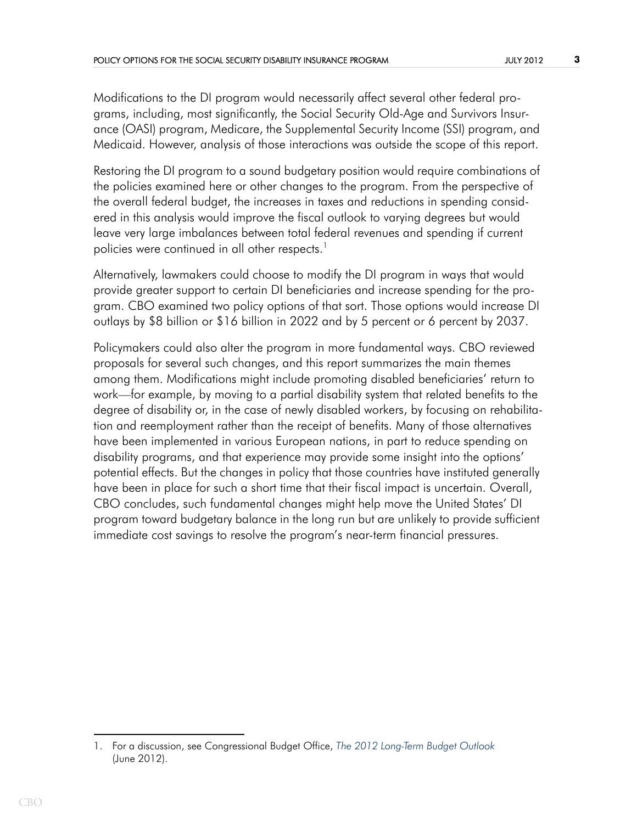Modifications to the DI program would necessarily affect several other federal programs, including, most significantly, the Social Security Old-Age and Survivors Insurance (OASI) program, Medicare, the Supplemental Security Income (SSI) program, and Medicaid. However, analysis of those interactions was outside the scope of this report.

Restoring the DI program to a sound budgetary position would require combinations of the policies examined here or other changes to the program. From the perspective of the overall federal budget, the increases in taxes and reductions in spending considered in this analysis would improve the fiscal outlook to varying degrees but would leave very large imbalances between total federal revenues and spending if current policies were continued in all other respects.<sup>1</sup>

Alternatively, lawmakers could choose to modify the DI program in ways that would provide greater support to certain DI beneficiaries and increase spending for the program. CBO examined two policy options of that sort. Those options would increase DI outlays by \$8 billion or \$16 billion in 2022 and by 5 percent or 6 percent by 2037.

Policymakers could also alter the program in more fundamental ways. CBO reviewed proposals for several such changes, and this report summarizes the main themes among them. Modifications might include promoting disabled beneficiaries' return to work—for example, by moving to a partial disability system that related benefits to the degree of disability or, in the case of newly disabled workers, by focusing on rehabilitation and reemployment rather than the receipt of benefits. Many of those alternatives have been implemented in various European nations, in part to reduce spending on disability programs, and that experience may provide some insight into the options' potential effects. But the changes in policy that those countries have instituted generally have been in place for such a short time that their fiscal impact is uncertain. Overall, CBO concludes, such fundamental changes might help move the United States' DI program toward budgetary balance in the long run but are unlikely to provide sufficient immediate cost savings to resolve the program's near-term financial pressures.

<sup>1.</sup> For a discussion, see Congressional Budget Office, *[The 2012 Long-Term Budget Outlook](http://www.cbo.gov/publication/43288)* (June 2012).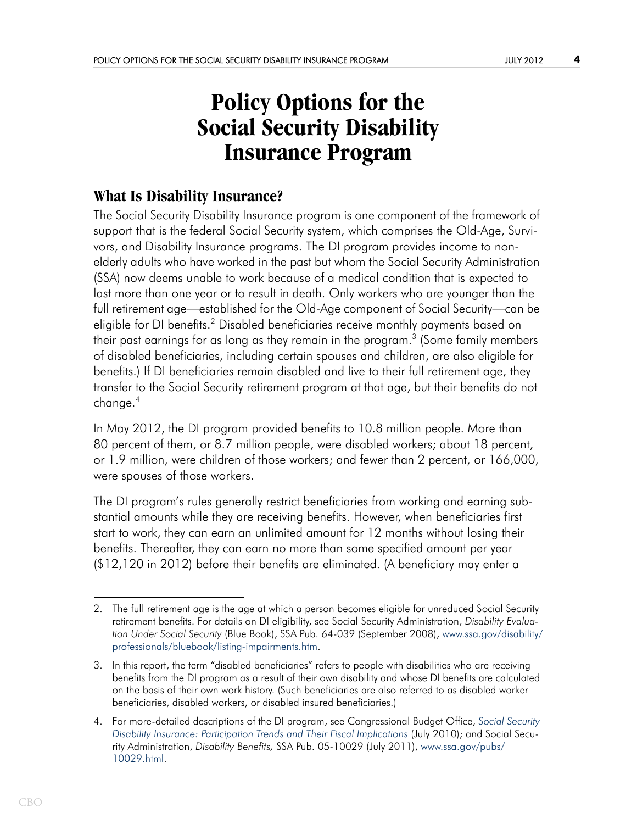# **Policy Options for the Social Security Disability Insurance Program**

## **What Is Disability Insurance?**

The Social Security Disability Insurance program is one component of the framework of support that is the federal Social Security system, which comprises the Old-Age, Survivors, and Disability Insurance programs. The DI program provides income to nonelderly adults who have worked in the past but whom the Social Security Administration (SSA) now deems unable to work because of a medical condition that is expected to last more than one year or to result in death. Only workers who are younger than the full retirement age—established for the Old-Age component of Social Security—can be eligible for DI benefits.<sup>2</sup> Disabled beneficiaries receive monthly payments based on their past earnings for as long as they remain in the program. $^3$  (Some family members of disabled beneficiaries, including certain spouses and children, are also eligible for benefits.) If DI beneficiaries remain disabled and live to their full retirement age, they transfer to the Social Security retirement program at that age, but their benefits do not change.4

In May 2012, the DI program provided benefits to 10.8 million people. More than 80 percent of them, or 8.7 million people, were disabled workers; about 18 percent, or 1.9 million, were children of those workers; and fewer than 2 percent, or 166,000, were spouses of those workers.

The DI program's rules generally restrict beneficiaries from working and earning substantial amounts while they are receiving benefits. However, when beneficiaries first start to work, they can earn an unlimited amount for 12 months without losing their benefits. Thereafter, they can earn no more than some specified amount per year (\$12,120 in 2012) before their benefits are eliminated. (A beneficiary may enter a

<sup>2.</sup> The full retirement age is the age at which a person becomes eligible for unreduced Social Security retirement benefits. For details on DI eligibility, see Social Security Administration, *Disability Evaluation Under Social Security* (Blue Book), SSA Pub. 64-039 (September 2008), www.ssa.gov/disability/ [professionals/bluebook/listing-impairments.htm.](http://www.ssa.gov/disability/professionals/bluebook/listing-impairments.htm) 

<sup>3.</sup> In this report, the term "disabled beneficiaries" refers to people with disabilities who are receiving benefits from the DI program as a result of their own disability and whose DI benefits are calculated on the basis of their own work history. (Such beneficiaries are also referred to as disabled worker beneficiaries, disabled workers, or disabled insured beneficiaries.)

<sup>4.</sup> For more-detailed descriptions of the DI program, see Congressional Budget Office, *[Social Security](http://www.cbo.gov/publication/21638)  [Disability Insurance: Participation Trends and Their Fiscal Implications](http://www.cbo.gov/publication/21638)* (July 2010); and Social Security Administration, *Disability Benefits,* SSA Pub. 05-10029 (July 2011), [www.ssa.gov/pubs/](http://ssa.gov/pubs/10029.html) [10029.html.](http://ssa.gov/pubs/10029.html)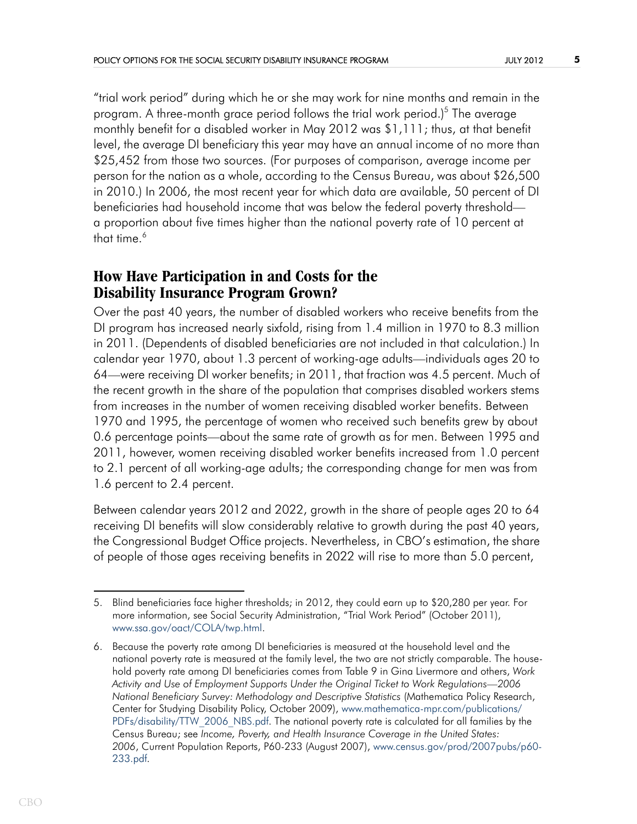"trial work period" during which he or she may work for nine months and remain in the program. A three-month grace period follows the trial work period.)<sup>5</sup> The average monthly benefit for a disabled worker in May 2012 was \$1,111; thus, at that benefit level, the average DI beneficiary this year may have an annual income of no more than \$25,452 from those two sources. (For purposes of comparison, average income per person for the nation as a whole, according to the Census Bureau, was about \$26,500 in 2010.) In 2006, the most recent year for which data are available, 50 percent of DI beneficiaries had household income that was below the federal poverty threshold a proportion about five times higher than the national poverty rate of 10 percent at that time.<sup>6</sup>

## **How Have Participation in and Costs for the Disability Insurance Program Grown?**

Over the past 40 years, the number of disabled workers who receive benefits from the DI program has increased nearly sixfold, rising from 1.4 million in 1970 to 8.3 million in 2011. (Dependents of disabled beneficiaries are not included in that calculation.) In calendar year 1970, about 1.3 percent of working-age adults—individuals ages 20 to 64—were receiving DI worker benefits; in 2011, that fraction was 4.5 percent. Much of the recent growth in the share of the population that comprises disabled workers stems from increases in the number of women receiving disabled worker benefits. Between 1970 and 1995, the percentage of women who received such benefits grew by about 0.6 percentage points—about the same rate of growth as for men. Between 1995 and 2011, however, women receiving disabled worker benefits increased from 1.0 percent to 2.1 percent of all working-age adults; the corresponding change for men was from 1.6 percent to 2.4 percent.

Between calendar years 2012 and 2022, growth in the share of people ages 20 to 64 receiving DI benefits will slow considerably relative to growth during the past 40 years, the Congressional Budget Office projects. Nevertheless, in CBO's estimation, the share of people of those ages receiving benefits in 2022 will rise to more than 5.0 percent,

<sup>5.</sup> Blind beneficiaries face higher thresholds; in 2012, they could earn up to \$20,280 per year. For more information, see Social Security Administration, "Trial Work Period" (October 2011), [www.ssa.gov/oact/COLA/twp.html.](http://www.ssa.gov/oact/COLA/twp.html)

<sup>6.</sup> Because the poverty rate among DI beneficiaries is measured at the household level and the national poverty rate is measured at the family level, the two are not strictly comparable. The household poverty rate among DI beneficiaries comes from Table 9 in Gina Livermore and others, *Work Activity and Use of Employment Supports Under the Original Ticket to Work Regulations—2006 National Beneficiary Survey: Methodology and Descriptive Statistics* (Mathematica Policy Research, Center for Studying Disability Policy, October 2009), [www.mathematica-mpr.com/publications/](http://www.mathematica-mpr.com/publications/PDFs/disability/TTW_2006_NBS.pdf) [PDFs/disability/TTW\\_2006\\_NBS.pdf.](http://www.mathematica-mpr.com/publications/PDFs/disability/TTW_2006_NBS.pdf) The national poverty rate is calculated for all families by the Census Bureau; see *Income, Poverty, and Health Insurance Coverage in the United States: 2006*, Current Population Reports, P60-233 (August 2007), [www.census.gov/prod/2007pubs/p60-](http://www.census.gov/prod/2007pubs/p60-233.pdf) [233.pdf.](file: http://www.census.gov/prod/2007pubs/p60-233.pdf)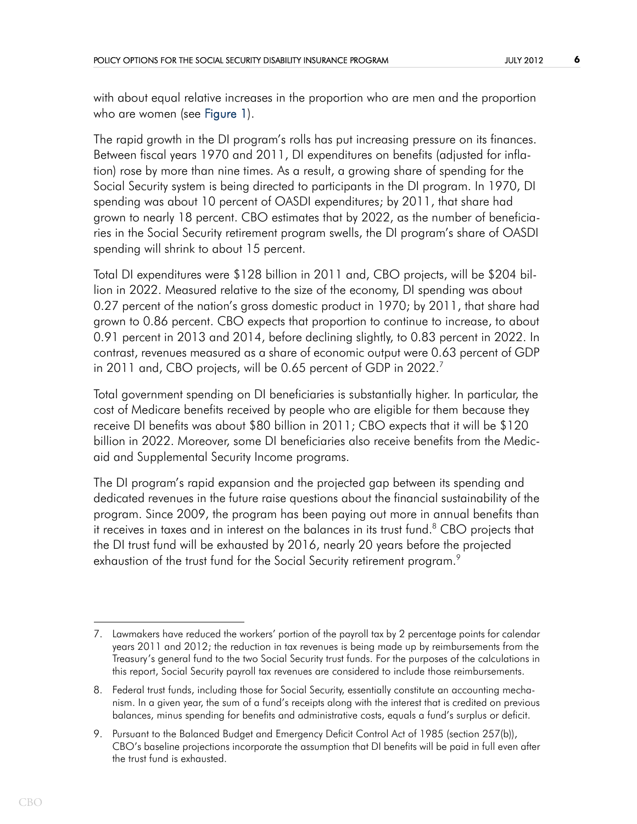<span id="page-5-0"></span>with about equal relative increases in the proportion who are men and the proportion who are women (see [Figure 1\)](#page-29-0).

The rapid growth in the DI program's rolls has put increasing pressure on its finances. Between fiscal years 1970 and 2011, DI expenditures on benefits (adjusted for inflation) rose by more than nine times. As a result, a growing share of spending for the Social Security system is being directed to participants in the DI program. In 1970, DI spending was about 10 percent of OASDI expenditures; by 2011, that share had grown to nearly 18 percent. CBO estimates that by 2022, as the number of beneficiaries in the Social Security retirement program swells, the DI program's share of OASDI spending will shrink to about 15 percent.

Total DI expenditures were \$128 billion in 2011 and, CBO projects, will be \$204 billion in 2022. Measured relative to the size of the economy, DI spending was about 0.27 percent of the nation's gross domestic product in 1970; by 2011, that share had grown to 0.86 percent. CBO expects that proportion to continue to increase, to about 0.91 percent in 2013 and 2014, before declining slightly, to 0.83 percent in 2022. In contrast, revenues measured as a share of economic output were 0.63 percent of GDP in 2011 and, CBO projects, will be 0.65 percent of GDP in 2022.<sup>7</sup>

Total government spending on DI beneficiaries is substantially higher. In particular, the cost of Medicare benefits received by people who are eligible for them because they receive DI benefits was about \$80 billion in 2011; CBO expects that it will be \$120 billion in 2022. Moreover, some DI beneficiaries also receive benefits from the Medicaid and Supplemental Security Income programs.

The DI program's rapid expansion and the projected gap between its spending and dedicated revenues in the future raise questions about the financial sustainability of the program. Since 2009, the program has been paying out more in annual benefits than it receives in taxes and in interest on the balances in its trust fund. $8$  CBO projects that the DI trust fund will be exhausted by 2016, nearly 20 years before the projected exhaustion of the trust fund for the Social Security retirement program.<sup>9</sup>

<sup>7.</sup> Lawmakers have reduced the workers' portion of the payroll tax by 2 percentage points for calendar years 2011 and 2012; the reduction in tax revenues is being made up by reimbursements from the Treasury's general fund to the two Social Security trust funds. For the purposes of the calculations in this report, Social Security payroll tax revenues are considered to include those reimbursements.

<sup>8.</sup> Federal trust funds, including those for Social Security, essentially constitute an accounting mechanism. In a given year, the sum of a fund's receipts along with the interest that is credited on previous balances, minus spending for benefits and administrative costs, equals a fund's surplus or deficit.

<sup>9.</sup> Pursuant to the Balanced Budget and Emergency Deficit Control Act of 1985 (section 257(b)), CBO's baseline projections incorporate the assumption that DI benefits will be paid in full even after the trust fund is exhausted.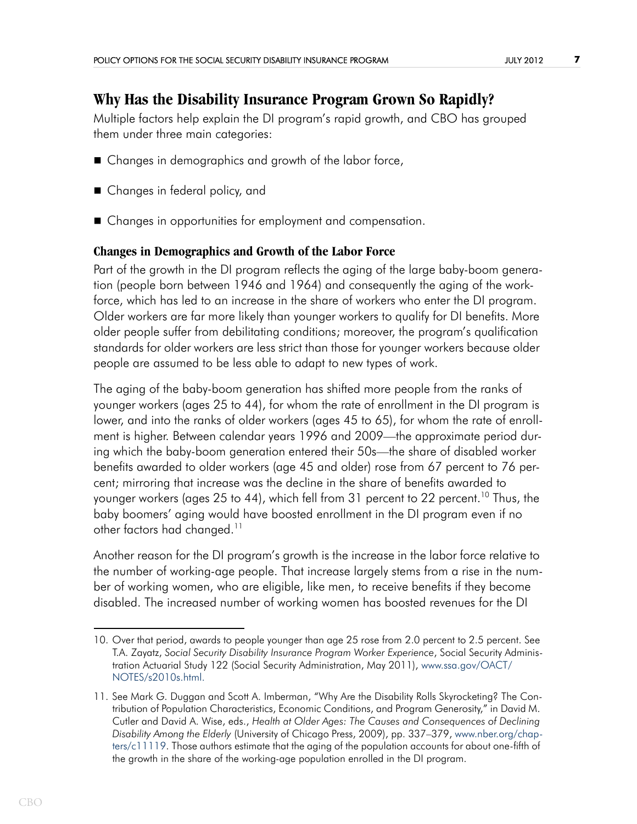## **Why Has the Disability Insurance Program Grown So Rapidly?**

Multiple factors help explain the DI program's rapid growth, and CBO has grouped them under three main categories:

- Changes in demographics and growth of the labor force,
- Changes in federal policy, and
- Changes in opportunities for employment and compensation.

## **Changes in Demographics and Growth of the Labor Force**

Part of the growth in the DI program reflects the aging of the large baby-boom generation (people born between 1946 and 1964) and consequently the aging of the workforce, which has led to an increase in the share of workers who enter the DI program. Older workers are far more likely than younger workers to qualify for DI benefits. More older people suffer from debilitating conditions; moreover, the program's qualification standards for older workers are less strict than those for younger workers because older people are assumed to be less able to adapt to new types of work.

The aging of the baby-boom generation has shifted more people from the ranks of younger workers (ages 25 to 44), for whom the rate of enrollment in the DI program is lower, and into the ranks of older workers (ages 45 to 65), for whom the rate of enrollment is higher. Between calendar years 1996 and 2009—the approximate period during which the baby-boom generation entered their 50s—the share of disabled worker benefits awarded to older workers (age 45 and older) rose from 67 percent to 76 percent; mirroring that increase was the decline in the share of benefits awarded to younger workers (ages 25 to 44), which fell from 31 percent to 22 percent.<sup>10</sup> Thus, the baby boomers' aging would have boosted enrollment in the DI program even if no other factors had changed.<sup>11</sup>

Another reason for the DI program's growth is the increase in the labor force relative to the number of working-age people. That increase largely stems from a rise in the number of working women, who are eligible, like men, to receive benefits if they become disabled. The increased number of working women has boosted revenues for the DI

<sup>10.</sup> Over that period, awards to people younger than age 25 rose from 2.0 percent to 2.5 percent. See T.A. Zayatz, *Social Security Disability Insurance Program Worker Experience*, Social Security Administration Actuarial Study 122 (Social Security Administration, May 2011), [www.ssa.gov/OACT/](http://www.ssa.gov/OACT/NOTES/s2010s.html) [NOTES/s2010s.html.](http://www.ssa.gov/OACT/NOTES/s2010s.html)

<sup>11.</sup> See Mark G. Duggan and Scott A. Imberman, "Why Are the Disability Rolls Skyrocketing? The Contribution of Population Characteristics, Economic Conditions, and Program Generosity," in David M. Cutler and David A. Wise, eds., *Health at Older Ages: The Causes and Consequences of Declining Disability Among the Elderly* (University of Chicago Press, 2009), pp. 337–379, [www.nber.org/chap](http://www.nber.org/chapters/c11119)[ters/c11119.](http://www.nber.org/chapters/c11119) Those authors estimate that the aging of the population accounts for about one-fifth of the growth in the share of the working-age population enrolled in the DI program.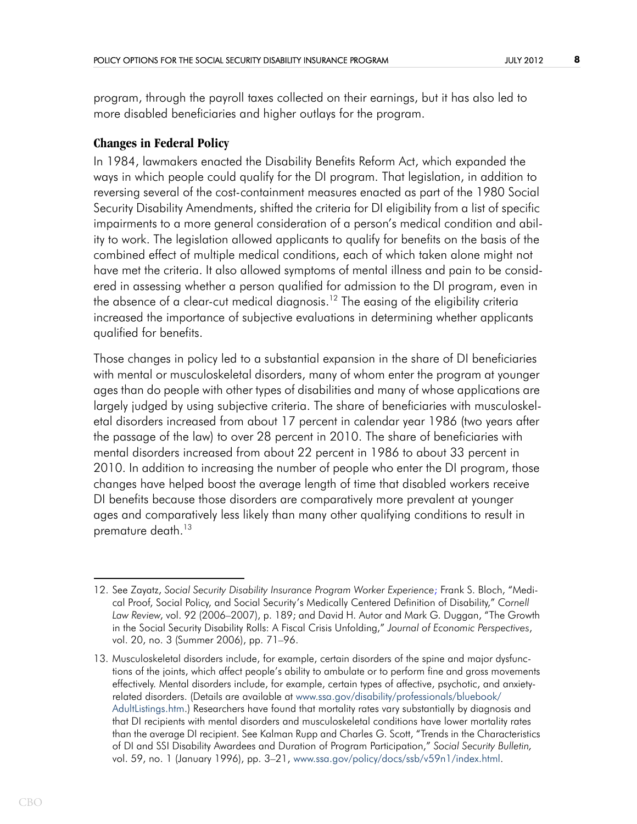program, through the payroll taxes collected on their earnings, but it has also led to more disabled beneficiaries and higher outlays for the program.

## **Changes in Federal Policy**

In 1984, lawmakers enacted the Disability Benefits Reform Act, which expanded the ways in which people could qualify for the DI program. That legislation, in addition to reversing several of the cost-containment measures enacted as part of the 1980 Social Security Disability Amendments, shifted the criteria for DI eligibility from a list of specific impairments to a more general consideration of a person's medical condition and ability to work. The legislation allowed applicants to qualify for benefits on the basis of the combined effect of multiple medical conditions, each of which taken alone might not have met the criteria. It also allowed symptoms of mental illness and pain to be considered in assessing whether a person qualified for admission to the DI program, even in the absence of a clear-cut medical diagnosis.<sup>12</sup> The easing of the eligibility criteria increased the importance of subjective evaluations in determining whether applicants qualified for benefits.

Those changes in policy led to a substantial expansion in the share of DI beneficiaries with mental or musculoskeletal disorders, many of whom enter the program at younger ages than do people with other types of disabilities and many of whose applications are largely judged by using subjective criteria. The share of beneficiaries with musculoskeletal disorders increased from about 17 percent in calendar year 1986 (two years after the passage of the law) to over 28 percent in 2010. The share of beneficiaries with mental disorders increased from about 22 percent in 1986 to about 33 percent in 2010. In addition to increasing the number of people who enter the DI program, those changes have helped boost the average length of time that disabled workers receive DI benefits because those disorders are comparatively more prevalent at younger ages and comparatively less likely than many other qualifying conditions to result in premature death.<sup>13</sup>

<sup>12.</sup> See Zayatz, *Social Security Disability Insurance Program Worker Experience*; Frank S. Bloch, "Medical Proof, Social Policy, and Social Security's Medically Centered Definition of Disability," *Cornell Law Review*, vol. 92 (2006–2007), p. 189; and David H. Autor and Mark G. Duggan, "The Growth in the Social Security Disability Rolls: A Fiscal Crisis Unfolding," *Journal of Economic Perspectives*, vol. 20, no. 3 (Summer 2006), pp. 71–96.

<sup>13.</sup> Musculoskeletal disorders include, for example, certain disorders of the spine and major dysfunctions of the joints, which affect people's ability to ambulate or to perform fine and gross movements effectively. Mental disorders include, for example, certain types of affective, psychotic, and anxietyrelated disorders. (Details are available at [www.ssa.gov/disability/professionals/bluebook/](http://www.ssa.gov/disability/professionals/bluebook/AdultListings.htm) [AdultListings.htm](http://www.ssa.gov/disability/professionals/bluebook/AdultListings.htm).) Researchers have found that mortality rates vary substantially by diagnosis and that DI recipients with mental disorders and musculoskeletal conditions have lower mortality rates than the average DI recipient. See Kalman Rupp and Charles G. Scott, "Trends in the Characteristics of DI and SSI Disability Awardees and Duration of Program Participation," *Social Security Bulletin,*  vol. 59, no. 1 (January 1996), pp. 3–21, [www.ssa.gov/policy/docs/ssb/v59n1/index.html](http://www.ssa.gov/policy/docs/ssb/v59n1/index.html).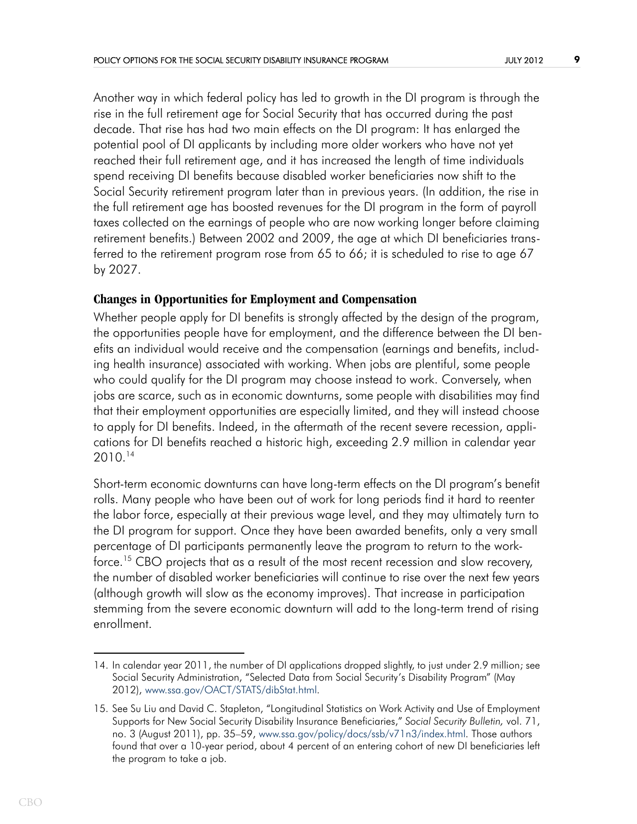Another way in which federal policy has led to growth in the DI program is through the rise in the full retirement age for Social Security that has occurred during the past decade. That rise has had two main effects on the DI program: It has enlarged the potential pool of DI applicants by including more older workers who have not yet reached their full retirement age, and it has increased the length of time individuals spend receiving DI benefits because disabled worker beneficiaries now shift to the Social Security retirement program later than in previous years. (In addition, the rise in the full retirement age has boosted revenues for the DI program in the form of payroll taxes collected on the earnings of people who are now working longer before claiming retirement benefits.) Between 2002 and 2009, the age at which DI beneficiaries transferred to the retirement program rose from 65 to 66; it is scheduled to rise to age 67 by 2027.

### **Changes in Opportunities for Employment and Compensation**

Whether people apply for DI benefits is strongly affected by the design of the program, the opportunities people have for employment, and the difference between the DI benefits an individual would receive and the compensation (earnings and benefits, including health insurance) associated with working. When jobs are plentiful, some people who could qualify for the DI program may choose instead to work. Conversely, when jobs are scarce, such as in economic downturns, some people with disabilities may find that their employment opportunities are especially limited, and they will instead choose to apply for DI benefits. Indeed, in the aftermath of the recent severe recession, applications for DI benefits reached a historic high, exceeding 2.9 million in calendar year 2010.14

Short-term economic downturns can have long-term effects on the DI program's benefit rolls. Many people who have been out of work for long periods find it hard to reenter the labor force, especially at their previous wage level, and they may ultimately turn to the DI program for support. Once they have been awarded benefits, only a very small percentage of DI participants permanently leave the program to return to the workforce.<sup>15</sup> CBO projects that as a result of the most recent recession and slow recovery, the number of disabled worker beneficiaries will continue to rise over the next few years (although growth will slow as the economy improves). That increase in participation stemming from the severe economic downturn will add to the long-term trend of rising enrollment.

<sup>14.</sup> In calendar year 2011, the number of DI applications dropped slightly, to just under 2.9 million; see Social Security Administration, "Selected Data from Social Security's Disability Program" (May 2012), [www.ssa.gov/OACT/STATS/dibStat.html.](http://www.ssa.gov/OACT/STATS/dibStat.html)

<sup>15.</sup> See Su Liu and David C. Stapleton, "Longitudinal Statistics on Work Activity and Use of Employment Supports for New Social Security Disability Insurance Beneficiaries," *Social Security Bulletin,* vol. 71, no. 3 (August 2011), pp. 35–59, [www.ssa.gov/policy/docs/ssb/v71n3/index.html.](http://www.ssa.gov/policy/docs/ssb/v71n3/index.html) Those authors found that over a 10-year period, about 4 percent of an entering cohort of new DI beneficiaries left the program to take a job.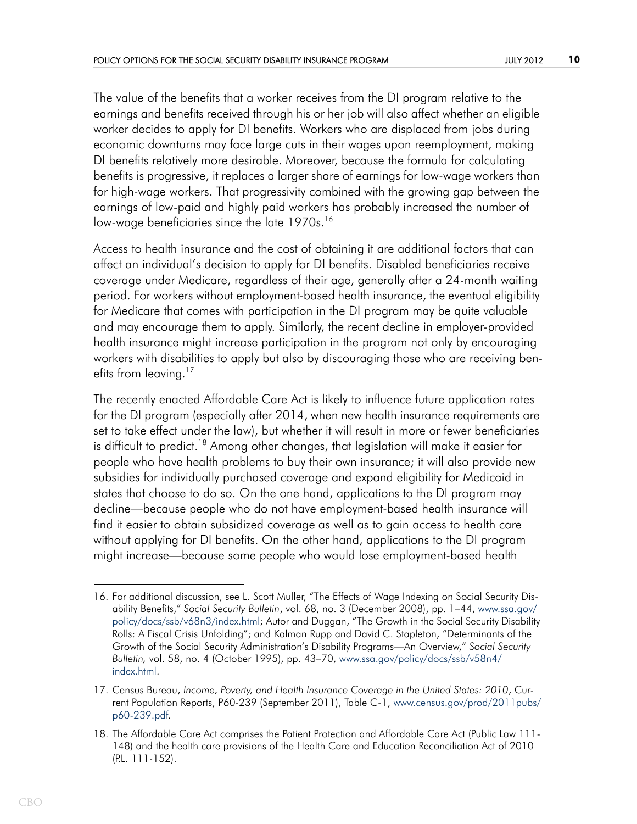The value of the benefits that a worker receives from the DI program relative to the earnings and benefits received through his or her job will also affect whether an eligible worker decides to apply for DI benefits. Workers who are displaced from jobs during economic downturns may face large cuts in their wages upon reemployment, making DI benefits relatively more desirable. Moreover, because the formula for calculating benefits is progressive, it replaces a larger share of earnings for low-wage workers than for high-wage workers. That progressivity combined with the growing gap between the earnings of low-paid and highly paid workers has probably increased the number of low-wage beneficiaries since the late 1970s.<sup>16</sup>

Access to health insurance and the cost of obtaining it are additional factors that can affect an individual's decision to apply for DI benefits. Disabled beneficiaries receive coverage under Medicare, regardless of their age, generally after a 24-month waiting period. For workers without employment-based health insurance, the eventual eligibility for Medicare that comes with participation in the DI program may be quite valuable and may encourage them to apply. Similarly, the recent decline in employer-provided health insurance might increase participation in the program not only by encouraging workers with disabilities to apply but also by discouraging those who are receiving benefits from leaving.<sup>17</sup>

The recently enacted Affordable Care Act is likely to influence future application rates for the DI program (especially after 2014, when new health insurance requirements are set to take effect under the law), but whether it will result in more or fewer beneficiaries is difficult to predict.<sup>18</sup> Among other changes, that legislation will make it easier for people who have health problems to buy their own insurance; it will also provide new subsidies for individually purchased coverage and expand eligibility for Medicaid in states that choose to do so. On the one hand, applications to the DI program may decline—because people who do not have employment-based health insurance will find it easier to obtain subsidized coverage as well as to gain access to health care without applying for DI benefits. On the other hand, applications to the DI program might increase—because some people who would lose employment-based health

<sup>16.</sup> For additional discussion, see L. Scott Muller, "The Effects of Wage Indexing on Social Security Disability Benefits," *Social Security Bulletin*, vol. 68, no. 3 (December 2008), pp. 1–44, [www.ssa.gov/](http://www.ssa.gov/policy/docs/ssb/v68n3/index.html) [policy/docs/ssb/v68n3/index.html;](http://www.ssa.gov/policy/docs/ssb/v68n3/index.html) Autor and Duggan, "The Growth in the Social Security Disability Rolls: A Fiscal Crisis Unfolding"; and Kalman Rupp and David C. Stapleton, "Determinants of the Growth of the Social Security Administration's Disability Programs—An Overview," *Social Security Bulletin,* vol. 58, no. 4 (October 1995), pp. 43–70, [www.ssa.gov/policy/docs/ssb/v58n4/](http://www.ssa.gov/policy/docs/ssb/v58n4/index.html) [index.html.](file: http://www.ssa.gov/policy/docs/ssb/v58n4/index.html)

<sup>17.</sup> Census Bureau, *Income, Poverty, and Health Insurance Coverage in the United States: 2010*, Current Population Reports, P60-239 (September 2011), Table C-1, [www.census.gov/prod/2011pubs/](http://www.census.gov/prod/2011pubs/p60-239.pdf) [p60-239.pdf.](http://www.census.gov/prod/2011pubs/p60-239.pdf)

<sup>18.</sup> The Affordable Care Act comprises the Patient Protection and Affordable Care Act (Public Law 111- 148) and the health care provisions of the Health Care and Education Reconciliation Act of 2010 (P.L. 111-152).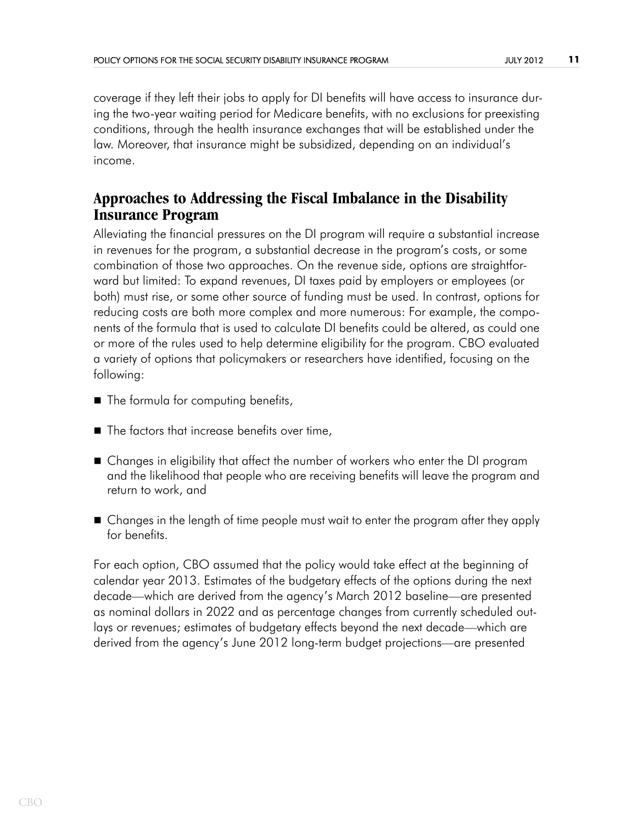coverage if they left their jobs to apply for DI benefits will have access to insurance during the two-year waiting period for Medicare benefits, with no exclusions for preexisting conditions, through the health insurance exchanges that will be established under the law. Moreover, that insurance might be subsidized, depending on an individual's income.

## **Approaches to Addressing the Fiscal Imbalance in the Disability Insurance Program**

Alleviating the financial pressures on the DI program will require a substantial increase in revenues for the program, a substantial decrease in the program's costs, or some combination of those two approaches. On the revenue side, options are straightforward but limited: To expand revenues, DI taxes paid by employers or employees (or both) must rise, or some other source of funding must be used. In contrast, options for reducing costs are both more complex and more numerous: For example, the components of the formula that is used to calculate DI benefits could be altered, as could one or more of the rules used to help determine eligibility for the program. CBO evaluated a variety of options that policymakers or researchers have identified, focusing on the following:

- The formula for computing benefits,
- The factors that increase benefits over time,
- Changes in eligibility that affect the number of workers who enter the DI program and the likelihood that people who are receiving benefits will leave the program and return to work, and
- Changes in the length of time people must wait to enter the program after they apply for benefits.

For each option, CBO assumed that the policy would take effect at the beginning of calendar year 2013. Estimates of the budgetary effects of the options during the next decade—which are derived from the agency's March 2012 baseline—are presented as nominal dollars in 2022 and as percentage changes from currently scheduled outlays or revenues; estimates of budgetary effects beyond the next decade—which are derived from the agency's June 2012 long-term budget projections—are presented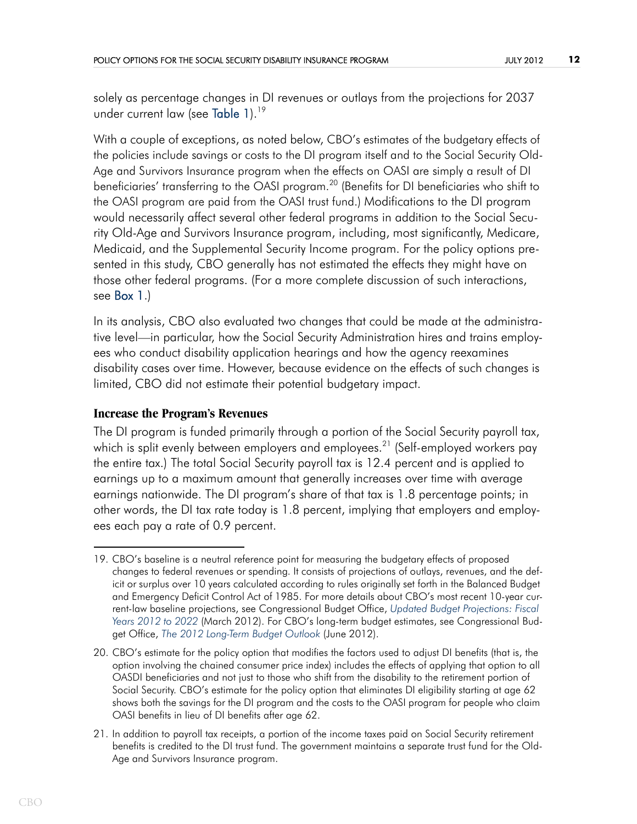<span id="page-11-0"></span>solely as percentage changes in DI revenues or outlays from the projections for 2037 under current law (see [Table 1\)](#page-30-0).<sup>19</sup>

<span id="page-11-1"></span>With a couple of exceptions, as noted below, CBO's estimates of the budgetary effects of the policies include savings or costs to the DI program itself and to the Social Security Old-Age and Survivors Insurance program when the effects on OASI are simply a result of DI beneficiaries' transferring to the OASI program.<sup>20</sup> (Benefits for DI beneficiaries who shift to the OASI program are paid from the OASI trust fund.) Modifications to the DI program would necessarily affect several other federal programs in addition to the Social Security Old-Age and Survivors Insurance program, including, most significantly, Medicare, Medicaid, and the Supplemental Security Income program. For the policy options presented in this study, CBO generally has not estimated the effects they might have on those other federal programs. (For a more complete discussion of such interactions, see [Box 1](#page-31-0).)

In its analysis, CBO also evaluated two changes that could be made at the administrative level—in particular, how the Social Security Administration hires and trains employees who conduct disability application hearings and how the agency reexamines disability cases over time. However, because evidence on the effects of such changes is limited, CBO did not estimate their potential budgetary impact.

### **Increase the Program's Revenues**

The DI program is funded primarily through a portion of the Social Security payroll tax, which is split evenly between employers and employees.<sup>21</sup> (Self-employed workers pay the entire tax.) The total Social Security payroll tax is 12.4 percent and is applied to earnings up to a maximum amount that generally increases over time with average earnings nationwide. The DI program's share of that tax is 1.8 percentage points; in other words, the DI tax rate today is 1.8 percent, implying that employers and employees each pay a rate of 0.9 percent.

<sup>19.</sup> CBO's baseline is a neutral reference point for measuring the budgetary effects of proposed changes to federal revenues or spending. It consists of projections of outlays, revenues, and the deficit or surplus over 10 years calculated according to rules originally set forth in the Balanced Budget and Emergency Deficit Control Act of 1985. For more details about CBO's most recent 10-year current-law baseline projections, see Congressional Budget Office, *[Updated Budget Projections: Fiscal](http://www.cbo.gov/publication/43119)  [Years 2012 to 2022](http://www.cbo.gov/publication/43119)* (March 2012). For CBO's long-term budget estimates, see Congressional Budget Office, *[The 2012 Long-Term Budget Outlook](http://www.cbo.gov/publication/43288)* (June 2012).

<sup>20.</sup> CBO's estimate for the policy option that modifies the factors used to adjust DI benefits (that is, the option involving the chained consumer price index) includes the effects of applying that option to all OASDI beneficiaries and not just to those who shift from the disability to the retirement portion of Social Security. CBO's estimate for the policy option that eliminates DI eligibility starting at age 62 shows both the savings for the DI program and the costs to the OASI program for people who claim OASI benefits in lieu of DI benefits after age 62.

<sup>21.</sup> In addition to payroll tax receipts, a portion of the income taxes paid on Social Security retirement benefits is credited to the DI trust fund. The government maintains a separate trust fund for the Old-Age and Survivors Insurance program.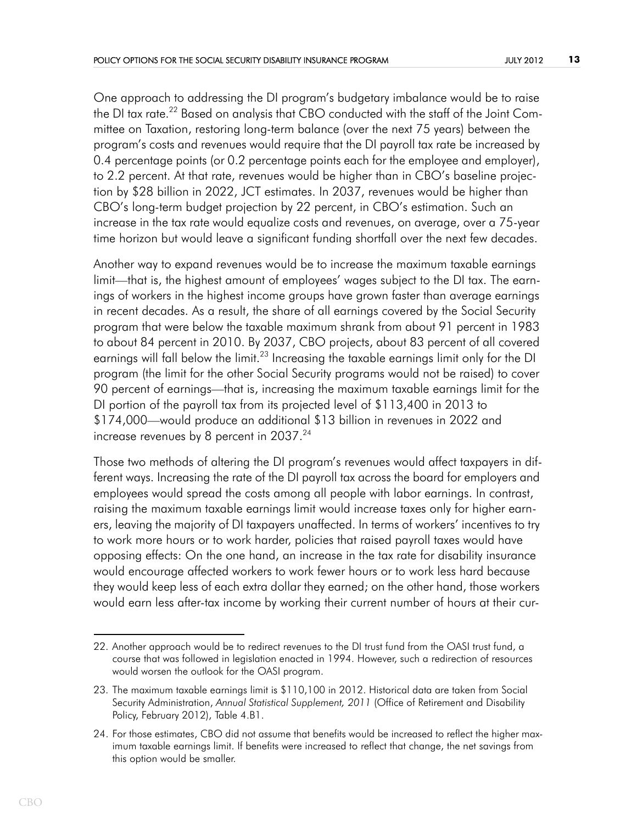One approach to addressing the DI program's budgetary imbalance would be to raise the DI tax rate.<sup>22</sup> Based on analysis that CBO conducted with the staff of the Joint Committee on Taxation, restoring long-term balance (over the next 75 years) between the program's costs and revenues would require that the DI payroll tax rate be increased by 0.4 percentage points (or 0.2 percentage points each for the employee and employer), to 2.2 percent. At that rate, revenues would be higher than in CBO's baseline projection by \$28 billion in 2022, JCT estimates. In 2037, revenues would be higher than CBO's long-term budget projection by 22 percent, in CBO's estimation. Such an increase in the tax rate would equalize costs and revenues, on average, over a 75-year time horizon but would leave a significant funding shortfall over the next few decades.

Another way to expand revenues would be to increase the maximum taxable earnings limit—that is, the highest amount of employees' wages subject to the DI tax. The earnings of workers in the highest income groups have grown faster than average earnings in recent decades. As a result, the share of all earnings covered by the Social Security program that were below the taxable maximum shrank from about 91 percent in 1983 to about 84 percent in 2010. By 2037, CBO projects, about 83 percent of all covered earnings will fall below the limit.<sup>23</sup> Increasing the taxable earnings limit only for the DI program (the limit for the other Social Security programs would not be raised) to cover 90 percent of earnings—that is, increasing the maximum taxable earnings limit for the DI portion of the payroll tax from its projected level of \$113,400 in 2013 to \$174,000—would produce an additional \$13 billion in revenues in 2022 and increase revenues by 8 percent in  $2037.^{24}$ 

Those two methods of altering the DI program's revenues would affect taxpayers in different ways. Increasing the rate of the DI payroll tax across the board for employers and employees would spread the costs among all people with labor earnings. In contrast, raising the maximum taxable earnings limit would increase taxes only for higher earners, leaving the majority of DI taxpayers unaffected. In terms of workers' incentives to try to work more hours or to work harder, policies that raised payroll taxes would have opposing effects: On the one hand, an increase in the tax rate for disability insurance would encourage affected workers to work fewer hours or to work less hard because they would keep less of each extra dollar they earned; on the other hand, those workers would earn less after-tax income by working their current number of hours at their cur-

<sup>22.</sup> Another approach would be to redirect revenues to the DI trust fund from the OASI trust fund, a course that was followed in legislation enacted in 1994. However, such a redirection of resources would worsen the outlook for the OASI program.

<sup>23.</sup> The maximum taxable earnings limit is \$110,100 in 2012. Historical data are taken from Social Security Administration, *Annual Statistical Supplement, 2011* (Office of Retirement and Disability Policy, February 2012), Table 4.B1.

<sup>24.</sup> For those estimates, CBO did not assume that benefits would be increased to reflect the higher maximum taxable earnings limit. If benefits were increased to reflect that change, the net savings from this option would be smaller.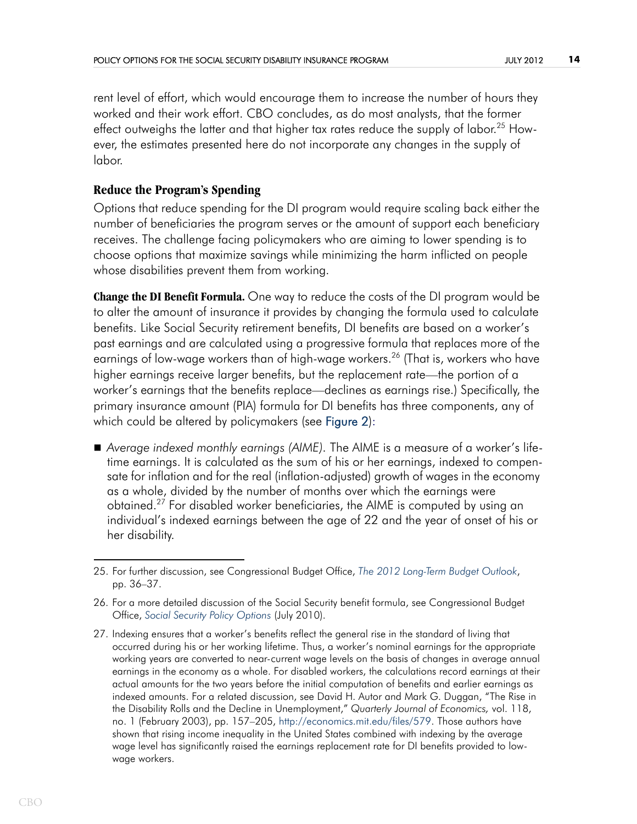rent level of effort, which would encourage them to increase the number of hours they worked and their work effort. CBO concludes, as do most analysts, that the former effect outweighs the latter and that higher tax rates reduce the supply of labor.<sup>25</sup> However, the estimates presented here do not incorporate any changes in the supply of labor.

## **Reduce the Program's Spending**

Options that reduce spending for the DI program would require scaling back either the number of beneficiaries the program serves or the amount of support each beneficiary receives. The challenge facing policymakers who are aiming to lower spending is to choose options that maximize savings while minimizing the harm inflicted on people whose disabilities prevent them from working.

<span id="page-13-0"></span>**Change the DI Benefit Formula.** One way to reduce the costs of the DI program would be to alter the amount of insurance it provides by changing the formula used to calculate benefits. Like Social Security retirement benefits, DI benefits are based on a worker's past earnings and are calculated using a progressive formula that replaces more of the earnings of low-wage workers than of high-wage workers.<sup>26</sup> (That is, workers who have higher earnings receive larger benefits, but the replacement rate—the portion of a worker's earnings that the benefits replace—declines as earnings rise.) Specifically, the primary insurance amount (PIA) formula for DI benefits has three components, any of which could be altered by policymakers (see [Figure 2](#page-34-0)):

 *Average indexed monthly earnings (AIME).* The AIME is a measure of a worker's lifetime earnings. It is calculated as the sum of his or her earnings, indexed to compensate for inflation and for the real (inflation-adjusted) growth of wages in the economy as a whole, divided by the number of months over which the earnings were obtained.27 For disabled worker beneficiaries, the AIME is computed by using an individual's indexed earnings between the age of 22 and the year of onset of his or her disability.

<sup>25.</sup> For further discussion, see Congressional Budget Office, *[The 2012 Long-Term Budget Outlook](http://www.cbo.gov/publication/43288)*, pp. 36–37.

<sup>26.</sup> For a more detailed discussion of the Social Security benefit formula, see Congressional Budget Office, *[Social Security Policy Options](http://www.cbo.gov/publication/21547)* (July 2010).

<sup>27.</sup> Indexing ensures that a worker's benefits reflect the general rise in the standard of living that occurred during his or her working lifetime. Thus, a worker's nominal earnings for the appropriate working years are converted to near-current wage levels on the basis of changes in average annual earnings in the economy as a whole. For disabled workers, the calculations record earnings at their actual amounts for the two years before the initial computation of benefits and earlier earnings as indexed amounts. For a related discussion, see David H. Autor and Mark G. Duggan, "The Rise in the Disability Rolls and the Decline in Unemployment," *Quarterly Journal of Economics,* vol. 118, no. 1 (February 2003), pp. 157–205, [http://economics.mit.edu/files/579.](http://economics.mit.edu/files/579) Those authors have shown that rising income inequality in the United States combined with indexing by the average wage level has significantly raised the earnings replacement rate for DI benefits provided to lowwage workers.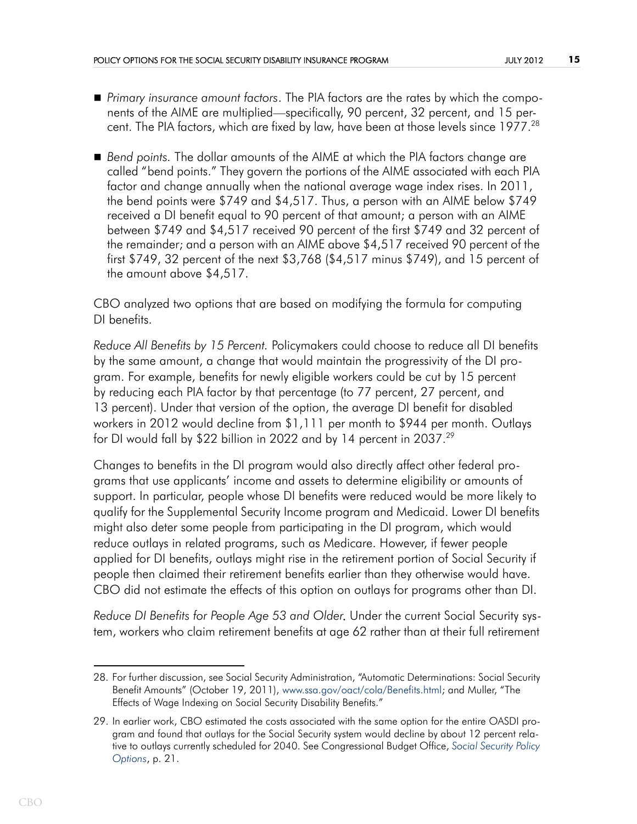- *Primary insurance amount factors*. The PIA factors are the rates by which the components of the AIME are multiplied—specifically, 90 percent, 32 percent, and 15 percent. The PIA factors, which are fixed by law, have been at those levels since 1977.<sup>28</sup>
- *Bend points.* The dollar amounts of the AIME at which the PIA factors change are called "bend points." They govern the portions of the AIME associated with each PIA factor and change annually when the national average wage index rises. In 2011, the bend points were \$749 and \$4,517. Thus, a person with an AIME below \$749 received a DI benefit equal to 90 percent of that amount; a person with an AIME between \$749 and \$4,517 received 90 percent of the first \$749 and 32 percent of the remainder; and a person with an AIME above \$4,517 received 90 percent of the first \$749, 32 percent of the next \$3,768 (\$4,517 minus \$749), and 15 percent of the amount above \$4,517.

CBO analyzed two options that are based on modifying the formula for computing DI benefits.

*Reduce All Benefits by 15 Percent.* Policymakers could choose to reduce all DI benefits by the same amount, a change that would maintain the progressivity of the DI program. For example, benefits for newly eligible workers could be cut by 15 percent by reducing each PIA factor by that percentage (to 77 percent, 27 percent, and 13 percent). Under that version of the option, the average DI benefit for disabled workers in 2012 would decline from \$1,111 per month to \$944 per month. Outlays for DI would fall by \$22 billion in 2022 and by 14 percent in 2037.<sup>29</sup>

Changes to benefits in the DI program would also directly affect other federal programs that use applicants' income and assets to determine eligibility or amounts of support. In particular, people whose DI benefits were reduced would be more likely to qualify for the Supplemental Security Income program and Medicaid. Lower DI benefits might also deter some people from participating in the DI program, which would reduce outlays in related programs, such as Medicare. However, if fewer people applied for DI benefits, outlays might rise in the retirement portion of Social Security if people then claimed their retirement benefits earlier than they otherwise would have. CBO did not estimate the effects of this option on outlays for programs other than DI.

*Reduce DI Benefits for People Age 53 and Older*. Under the current Social Security system, workers who claim retirement benefits at age 62 rather than at their full retirement

<sup>28.</sup> For further discussion, see Social Security Administration, "Automatic Determinations: Social Security Benefit Amounts" (October 19, 2011), [www.ssa.gov/oact/cola/Benefits.html;](http://www.ssa.gov/oact/cola/Benefits.html) and Muller, "The Effects of Wage Indexing on Social Security Disability Benefits."

<sup>29.</sup> In earlier work, CBO estimated the costs associated with the same option for the entire OASDI program and found that outlays for the Social Security system would decline by about 12 percent relative to outlays currently scheduled for 2040. See Congressional Budget Office, *[Social Security Policy](http://www.cbo.gov/publication/21547)  [Options](http://www.cbo.gov/publication/21547)*, p. 21.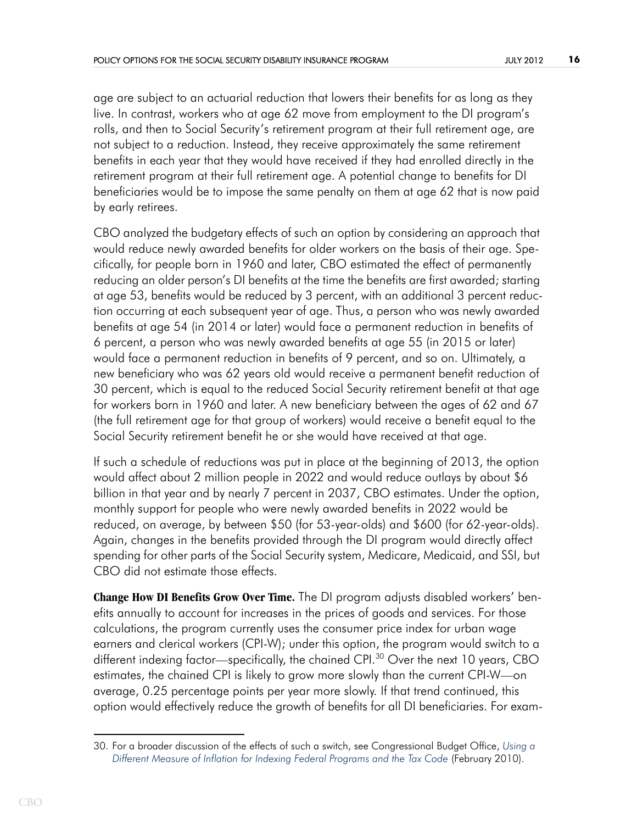age are subject to an actuarial reduction that lowers their benefits for as long as they live. In contrast, workers who at age 62 move from employment to the DI program's rolls, and then to Social Security's retirement program at their full retirement age, are not subject to a reduction. Instead, they receive approximately the same retirement benefits in each year that they would have received if they had enrolled directly in the retirement program at their full retirement age. A potential change to benefits for DI beneficiaries would be to impose the same penalty on them at age 62 that is now paid by early retirees.

CBO analyzed the budgetary effects of such an option by considering an approach that would reduce newly awarded benefits for older workers on the basis of their age. Specifically, for people born in 1960 and later, CBO estimated the effect of permanently reducing an older person's DI benefits at the time the benefits are first awarded; starting at age 53, benefits would be reduced by 3 percent, with an additional 3 percent reduction occurring at each subsequent year of age. Thus, a person who was newly awarded benefits at age 54 (in 2014 or later) would face a permanent reduction in benefits of 6 percent, a person who was newly awarded benefits at age 55 (in 2015 or later) would face a permanent reduction in benefits of 9 percent, and so on. Ultimately, a new beneficiary who was 62 years old would receive a permanent benefit reduction of 30 percent, which is equal to the reduced Social Security retirement benefit at that age for workers born in 1960 and later. A new beneficiary between the ages of 62 and 67 (the full retirement age for that group of workers) would receive a benefit equal to the Social Security retirement benefit he or she would have received at that age.

If such a schedule of reductions was put in place at the beginning of 2013, the option would affect about 2 million people in 2022 and would reduce outlays by about \$6 billion in that year and by nearly 7 percent in 2037, CBO estimates. Under the option, monthly support for people who were newly awarded benefits in 2022 would be reduced, on average, by between \$50 (for 53-year-olds) and \$600 (for 62-year-olds). Again, changes in the benefits provided through the DI program would directly affect spending for other parts of the Social Security system, Medicare, Medicaid, and SSI, but CBO did not estimate those effects.

**Change How DI Benefits Grow Over Time.** The DI program adjusts disabled workers' benefits annually to account for increases in the prices of goods and services. For those calculations, the program currently uses the consumer price index for urban wage earners and clerical workers (CPI-W); under this option, the program would switch to a different indexing factor—specifically, the chained CPI.<sup>30</sup> Over the next 10 years, CBO estimates, the chained CPI is likely to grow more slowly than the current CPI-W—on average, 0.25 percentage points per year more slowly. If that trend continued, this option would effectively reduce the growth of benefits for all DI beneficiaries. For exam-

<sup>30.</sup> For a broader discussion of the effects of such a switch, see Congressional Budget Office, *[Using a](http://www.cbo.gov/publication/21228)  [Different Measure of Inflation for Indexing Federal Programs and the Tax Code](http://www.cbo.gov/publication/21228)* (February 2010).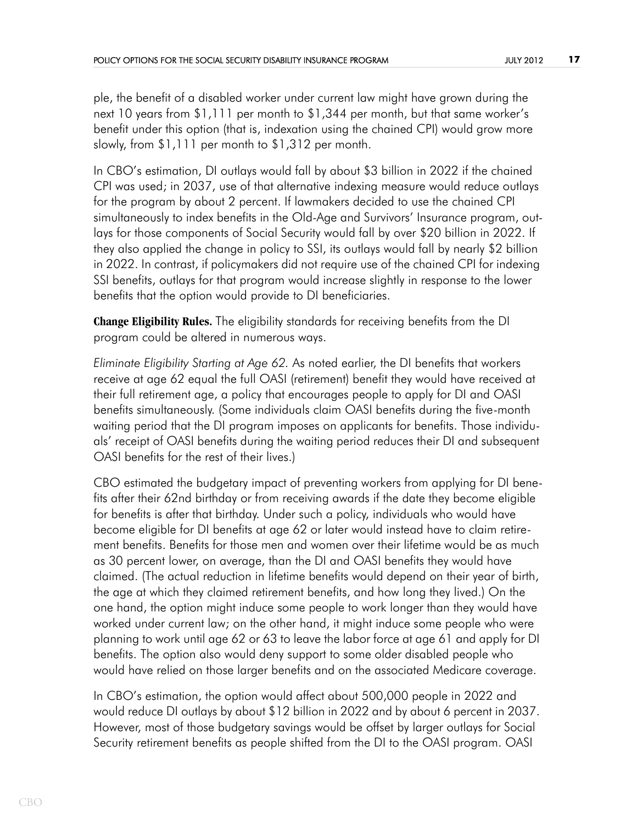ple, the benefit of a disabled worker under current law might have grown during the next 10 years from \$1,111 per month to \$1,344 per month, but that same worker's benefit under this option (that is, indexation using the chained CPI) would grow more slowly, from \$1,111 per month to \$1,312 per month.

In CBO's estimation, DI outlays would fall by about \$3 billion in 2022 if the chained CPI was used; in 2037, use of that alternative indexing measure would reduce outlays for the program by about 2 percent. If lawmakers decided to use the chained CPI simultaneously to index benefits in the Old-Age and Survivors' Insurance program, outlays for those components of Social Security would fall by over \$20 billion in 2022. If they also applied the change in policy to SSI, its outlays would fall by nearly \$2 billion in 2022. In contrast, if policymakers did not require use of the chained CPI for indexing SSI benefits, outlays for that program would increase slightly in response to the lower benefits that the option would provide to DI beneficiaries.

**Change Eligibility Rules.** The eligibility standards for receiving benefits from the DI program could be altered in numerous ways.

*Eliminate Eligibility Starting at Age 62.* As noted earlier, the DI benefits that workers receive at age 62 equal the full OASI (retirement) benefit they would have received at their full retirement age, a policy that encourages people to apply for DI and OASI benefits simultaneously. (Some individuals claim OASI benefits during the five-month waiting period that the DI program imposes on applicants for benefits. Those individuals' receipt of OASI benefits during the waiting period reduces their DI and subsequent OASI benefits for the rest of their lives.)

CBO estimated the budgetary impact of preventing workers from applying for DI benefits after their 62nd birthday or from receiving awards if the date they become eligible for benefits is after that birthday. Under such a policy, individuals who would have become eligible for DI benefits at age 62 or later would instead have to claim retirement benefits. Benefits for those men and women over their lifetime would be as much as 30 percent lower, on average, than the DI and OASI benefits they would have claimed. (The actual reduction in lifetime benefits would depend on their year of birth, the age at which they claimed retirement benefits, and how long they lived.) On the one hand, the option might induce some people to work longer than they would have worked under current law; on the other hand, it might induce some people who were planning to work until age 62 or 63 to leave the labor force at age 61 and apply for DI benefits. The option also would deny support to some older disabled people who would have relied on those larger benefits and on the associated Medicare coverage.

In CBO's estimation, the option would affect about 500,000 people in 2022 and would reduce DI outlays by about \$12 billion in 2022 and by about 6 percent in 2037. However, most of those budgetary savings would be offset by larger outlays for Social Security retirement benefits as people shifted from the DI to the OASI program. OASI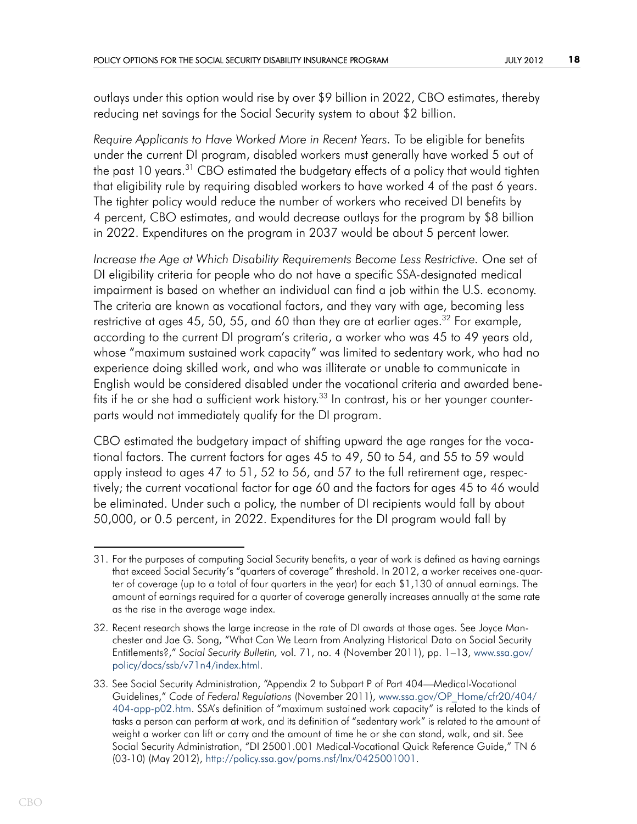outlays under this option would rise by over \$9 billion in 2022, CBO estimates, thereby reducing net savings for the Social Security system to about \$2 billion.

*Require Applicants to Have Worked More in Recent Years.* To be eligible for benefits under the current DI program, disabled workers must generally have worked 5 out of the past 10 years.<sup>31</sup> CBO estimated the budgetary effects of a policy that would tighten that eligibility rule by requiring disabled workers to have worked 4 of the past 6 years. The tighter policy would reduce the number of workers who received DI benefits by 4 percent, CBO estimates, and would decrease outlays for the program by \$8 billion in 2022. Expenditures on the program in 2037 would be about 5 percent lower.

*Increase the Age at Which Disability Requirements Become Less Restrictive.* One set of DI eligibility criteria for people who do not have a specific SSA-designated medical impairment is based on whether an individual can find a job within the U.S. economy. The criteria are known as vocational factors, and they vary with age, becoming less restrictive at ages 45, 50, 55, and 60 than they are at earlier ages.<sup>32</sup> For example, according to the current DI program's criteria, a worker who was 45 to 49 years old, whose "maximum sustained work capacity" was limited to sedentary work, who had no experience doing skilled work, and who was illiterate or unable to communicate in English would be considered disabled under the vocational criteria and awarded benefits if he or she had a sufficient work history.<sup>33</sup> In contrast, his or her younger counterparts would not immediately qualify for the DI program.

CBO estimated the budgetary impact of shifting upward the age ranges for the vocational factors. The current factors for ages 45 to 49, 50 to 54, and 55 to 59 would apply instead to ages 47 to 51, 52 to 56, and 57 to the full retirement age, respectively; the current vocational factor for age 60 and the factors for ages 45 to 46 would be eliminated. Under such a policy, the number of DI recipients would fall by about 50,000, or 0.5 percent, in 2022. Expenditures for the DI program would fall by

<sup>31.</sup> For the purposes of computing Social Security benefits, a year of work is defined as having earnings that exceed Social Security's "quarters of coverage" threshold. In 2012, a worker receives one-quarter of coverage (up to a total of four quarters in the year) for each \$1,130 of annual earnings. The amount of earnings required for a quarter of coverage generally increases annually at the same rate as the rise in the average wage index.

<sup>32.</sup> Recent research shows the large increase in the rate of DI awards at those ages. See Joyce Manchester and Jae G. Song, "What Can We Learn from Analyzing Historical Data on [Social Security](http://www.ssa.gov/policy/docs/ssb/v71n4/index.html)  Entitlements?," *[Social Security Bulle](http://www.ssa.gov/policy/docs/ssb/v71n4/index.html)tin,* vol. 71, no. 4 (November 2011), pp. 1–13, www.ssa.gov/ policy/docs/ssb/v71n4/index.html.

<sup>33.</sup> See Social Security Administration, "Appendix 2 to Subpart P [of Part 404—Medical-Vocational](http://www.ssa.gov/OP_Home/cfr20/404/404-app-p02.htm)  [Guidelines,"](http://www.ssa.gov/OP_Home/cfr20/404/404-app-p02.htm) *Code of Federal Regulations* (November 2011), www.ssa.gov/OP\_Home/cfr20/404/ 404-app-p02.htm. SSA's definition of "maximum sustained work capacity" is related to the kinds of tasks a person can perform at work, and its definition of "sedentary work" is related to the amount of weight a worker can lift or carry and the amount of time he or she can stand, walk, and sit. See Social Security Administration, "DI 25001.001 Medical-Vocational Quick Reference Guide," TN 6 (03-10) (May 2012), [http://policy.ssa.gov/poms.nsf/lnx/0425001001.](http://policy.ssa.gov/poms.nsf/lnx/0425001001)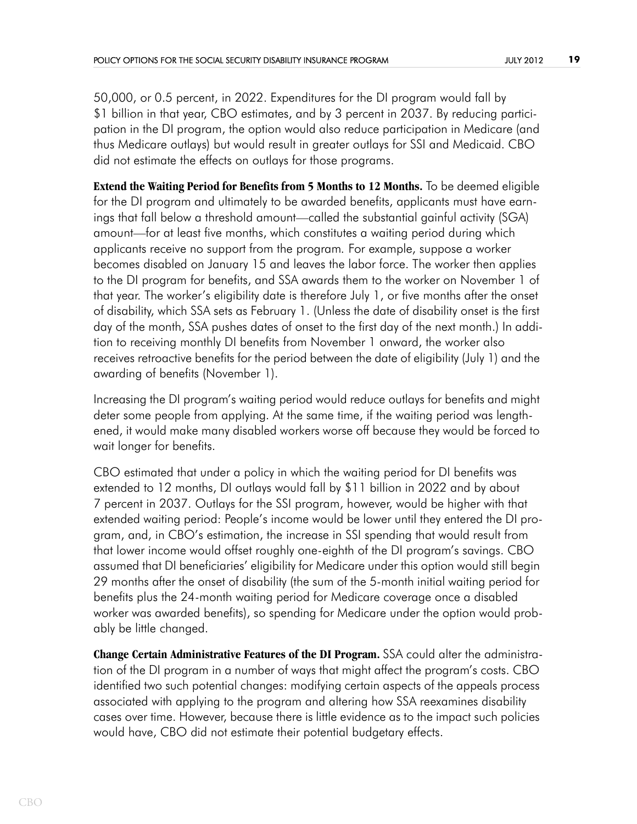50,000, or 0.5 percent, in 2022. Expenditures for the DI program would fall by \$1 billion in that year, CBO estimates, and by 3 percent in 2037. By reducing participation in the DI program, the option would also reduce participation in Medicare (and thus Medicare outlays) but would result in greater outlays for SSI and Medicaid. CBO did not estimate the effects on outlays for those programs.

**Extend the Waiting Period for Benefits from 5 Months to 12 Months.** To be deemed eligible for the DI program and ultimately to be awarded benefits, applicants must have earnings that fall below a threshold amount—called the substantial gainful activity (SGA) amount—for at least five months, which constitutes a waiting period during which applicants receive no support from the program*.* For example, suppose a worker becomes disabled on January 15 and leaves the labor force. The worker then applies to the DI program for benefits, and SSA awards them to the worker on November 1 of that year. The worker's eligibility date is therefore July 1, or five months after the onset of disability, which SSA sets as February 1. (Unless the date of disability onset is the first day of the month, SSA pushes dates of onset to the first day of the next month.) In addition to receiving monthly DI benefits from November 1 onward, the worker also receives retroactive benefits for the period between the date of eligibility (July 1) and the awarding of benefits (November 1).

Increasing the DI program's waiting period would reduce outlays for benefits and might deter some people from applying. At the same time, if the waiting period was lengthened, it would make many disabled workers worse off because they would be forced to wait longer for benefits.

CBO estimated that under a policy in which the waiting period for DI benefits was extended to 12 months, DI outlays would fall by \$11 billion in 2022 and by about 7 percent in 2037. Outlays for the SSI program, however, would be higher with that extended waiting period: People's income would be lower until they entered the DI program, and, in CBO's estimation, the increase in SSI spending that would result from that lower income would offset roughly one-eighth of the DI program's savings. CBO assumed that DI beneficiaries' eligibility for Medicare under this option would still begin 29 months after the onset of disability (the sum of the 5-month initial waiting period for benefits plus the 24-month waiting period for Medicare coverage once a disabled worker was awarded benefits), so spending for Medicare under the option would probably be little changed.

**Change Certain Administrative Features of the DI Program.** SSA could alter the administration of the DI program in a number of ways that might affect the program's costs. CBO identified two such potential changes: modifying certain aspects of the appeals process associated with applying to the program and altering how SSA reexamines disability cases over time. However, because there is little evidence as to the impact such policies would have, CBO did not estimate their potential budgetary effects.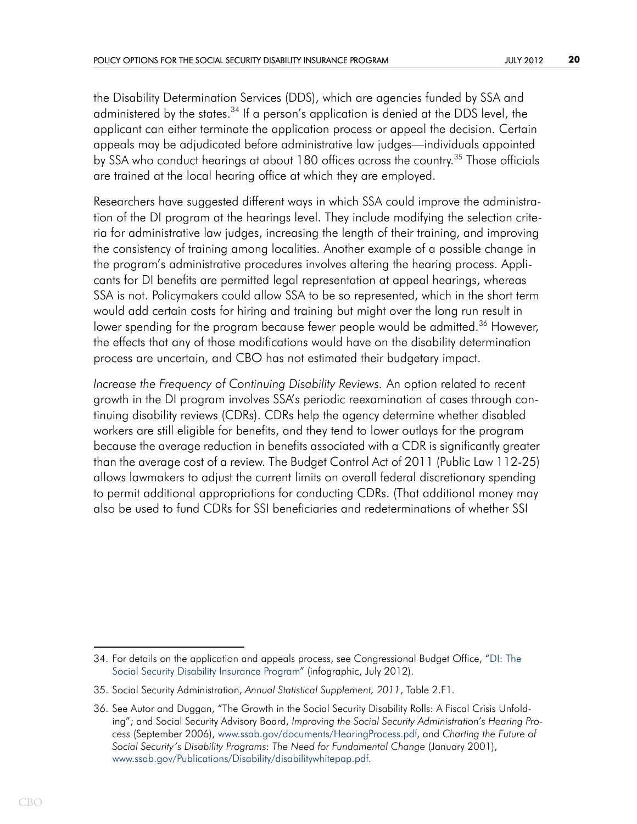the Disability Determination Services (DDS), which are agencies funded by SSA and administered by the states.<sup>34</sup> If a person's application is denied at the DDS level, the applicant can either terminate the application process or appeal the decision. Certain appeals may be adjudicated before administrative law judges—individuals appointed by SSA who conduct hearings at about 180 offices across the country.<sup>35</sup> Those officials are trained at the local hearing office at which they are employed.

Researchers have suggested different ways in which SSA could improve the administration of the DI program at the hearings level. They include modifying the selection criteria for administrative law judges, increasing the length of their training, and improving the consistency of training among localities. Another example of a possible change in the program's administrative procedures involves altering the hearing process. Applicants for DI benefits are permitted legal representation at appeal hearings, whereas SSA is not. Policymakers could allow SSA to be so represented, which in the short term would add certain costs for hiring and training but might over the long run result in lower spending for the program because fewer people would be admitted.<sup>36</sup> However, the effects that any of those modifications would have on the disability determination process are uncertain, and CBO has not estimated their budgetary impact.

*Increase the Frequency of Continuing Disability Reviews.* An option related to recent growth in the DI program involves SSA's periodic reexamination of cases through continuing disability reviews (CDRs). CDRs help the agency determine whether disabled workers are still eligible for benefits, and they tend to lower outlays for the program because the average reduction in benefits associated with a CDR is significantly greater than the average cost of a review. The Budget Control Act of 2011 (Public Law 112-25) allows lawmakers to adjust the current limits on overall federal discretionary spending to permit additional appropriations for conducting CDRs. (That additional money may also be used to fund CDRs for SSI beneficiaries and redeterminations of whether SSI

[<sup>34.</sup> For details on the application and appeals p](http://cbo.gov/publication/43432)rocess, see Congressional Budget Office, "DI: The Social Security Disability Insurance Program" (infographic, July 2012).

<sup>35.</sup> Social Security Administration, *Annual Statistical Supplement, 2011*, Table 2.F1*.*

<sup>36.</sup> See Autor and Duggan, "The Growth in the Social Security Disability Rolls: A Fiscal Crisis Unfolding"; and Social Security Advisory Board, *[Improving the Social Security](file: http://www.ssab.gov/documents/HearingProcess.pdf) Administration's Hearing Process* (September 2006), www.ssab.gov/documents/HearingProcess.pdf, and *Charting the Future of Social Security's Disability Programs: The Need for Fundamental Change* (January 2001), [www.ssab.gov/Publications/Disability/disabilitywhitepap.pdf.](http://www.ssab.gov/Publications/Disability/disabilitywhitepap.pdf)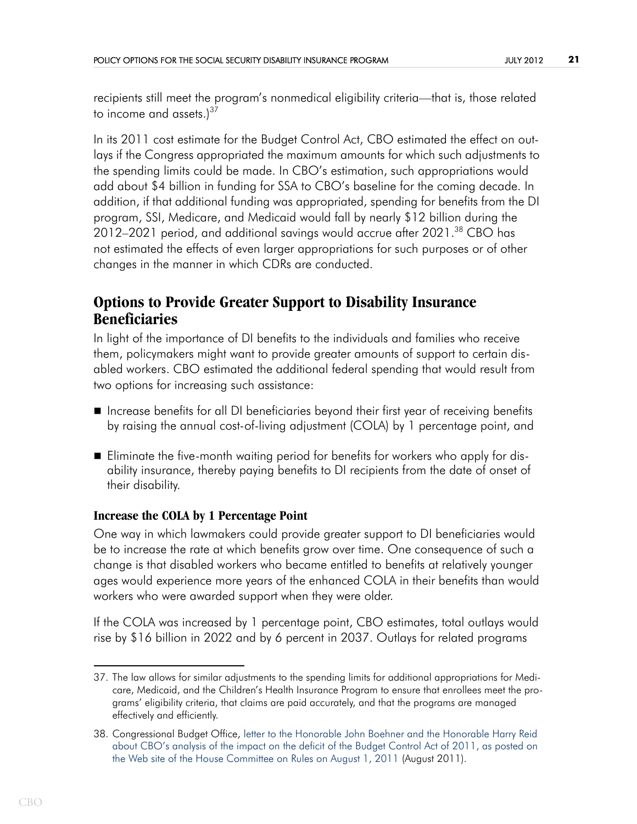recipients still meet the program's nonmedical eligibility criteria—that is, those related to income and assets.) $37$ 

In its 2011 cost estimate for the Budget Control Act, CBO estimated the effect on outlays if the Congress appropriated the maximum amounts for which such adjustments to the spending limits could be made. In CBO's estimation, such appropriations would add about \$4 billion in funding for SSA to CBO's baseline for the coming decade. In addition, if that additional funding was appropriated, spending for benefits from the DI program, SSI, Medicare, and Medicaid would fall by nearly \$12 billion during the 2012–2021 period, and additional savings would accrue after 2021.<sup>38</sup> CBO has not estimated the effects of even larger appropriations for such purposes or of other changes in the manner in which CDRs are conducted.

## **Options to Provide Greater Support to Disability Insurance Beneficiaries**

In light of the importance of DI benefits to the individuals and families who receive them, policymakers might want to provide greater amounts of support to certain disabled workers. CBO estimated the additional federal spending that would result from two options for increasing such assistance:

- Increase benefits for all DI beneficiaries beyond their first year of receiving benefits by raising the annual cost-of-living adjustment (COLA) by 1 percentage point, and
- Eliminate the five-month waiting period for benefits for workers who apply for disability insurance, thereby paying benefits to DI recipients from the date of onset of their disability.

## **Increase the COLA by 1 Percentage Point**

One way in which lawmakers could provide greater support to DI beneficiaries would be to increase the rate at which benefits grow over time. One consequence of such a change is that disabled workers who became entitled to benefits at relatively younger ages would experience more years of the enhanced COLA in their benefits than would workers who were awarded support when they were older.

If the COLA was increased by 1 percentage point, CBO estimates, total outlays would rise by \$16 billion in 2022 and by 6 percent in 2037. Outlays for related programs

<sup>37.</sup> The law allows for similar adjustments to the spending limits for additional appropriations for Medicare, Medicaid, and the Children's Health Insurance Program to ensure that enrollees meet the programs' eligibility criteria, that claims are paid accurately, and that the programs are managed effectively and efficiently.

<sup>38.</sup> Congressional Budget Office, [letter to the Honorable John Boehner and the Honorable Harry Reid](http://www.cbo.gov/publication/41626)  [about CBO's analysis of the impact on the deficit of the Budget Control Act of 2011, as posted on](http://www.cbo.gov/publication/41626)  [the Web site of the House Committee on Rules on August 1, 2011](http://www.cbo.gov/publication/41626) (August 2011).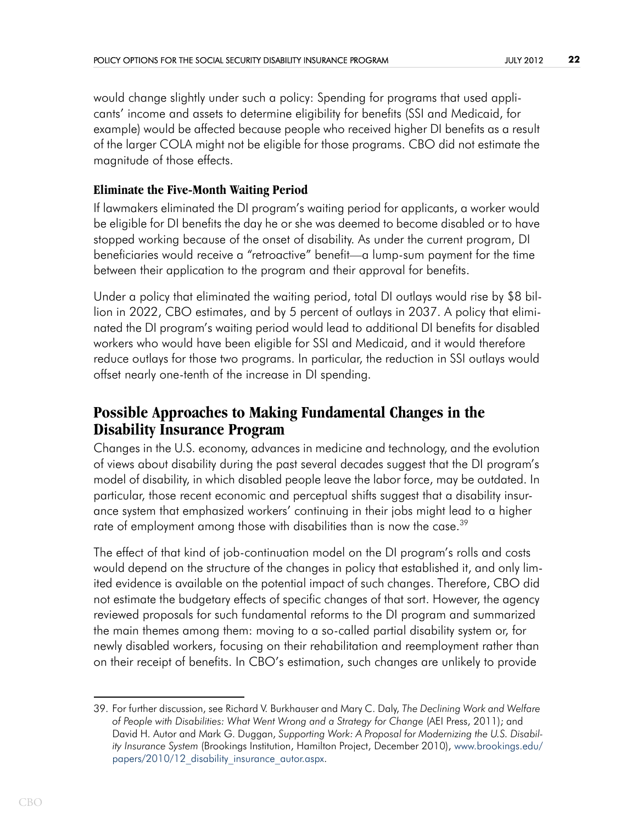would change slightly under such a policy: Spending for programs that used applicants' income and assets to determine eligibility for benefits (SSI and Medicaid, for example) would be affected because people who received higher DI benefits as a result of the larger COLA might not be eligible for those programs. CBO did not estimate the magnitude of those effects.

## **Eliminate the Five-Month Waiting Period**

If lawmakers eliminated the DI program's waiting period for applicants, a worker would be eligible for DI benefits the day he or she was deemed to become disabled or to have stopped working because of the onset of disability. As under the current program, DI beneficiaries would receive a "retroactive" benefit—a lump-sum payment for the time between their application to the program and their approval for benefits.

Under a policy that eliminated the waiting period, total DI outlays would rise by \$8 billion in 2022, CBO estimates, and by 5 percent of outlays in 2037. A policy that eliminated the DI program's waiting period would lead to additional DI benefits for disabled workers who would have been eligible for SSI and Medicaid, and it would therefore reduce outlays for those two programs. In particular, the reduction in SSI outlays would offset nearly one-tenth of the increase in DI spending.

## **Possible Approaches to Making Fundamental Changes in the Disability Insurance Program**

Changes in the U.S. economy, advances in medicine and technology, and the evolution of views about disability during the past several decades suggest that the DI program's model of disability, in which disabled people leave the labor force, may be outdated. In particular, those recent economic and perceptual shifts suggest that a disability insurance system that emphasized workers' continuing in their jobs might lead to a higher rate of employment among those with disabilities than is now the case.<sup>39</sup>

The effect of that kind of job-continuation model on the DI program's rolls and costs would depend on the structure of the changes in policy that established it, and only limited evidence is available on the potential impact of such changes. Therefore, CBO did not estimate the budgetary effects of specific changes of that sort. However, the agency reviewed proposals for such fundamental reforms to the DI program and summarized the main themes among them: moving to a so-called partial disability system or, for newly disabled workers, focusing on their rehabilitation and reemployment rather than on their receipt of benefits. In CBO's estimation, such changes are unlikely to provide

<sup>39.</sup> For further discussion, see Richard V. Burkhauser and Mary C. Daly, *The Declining Work and Welfare of People with Disabilities: What Went Wrong and a Strategy for Change* (AEI Press, 2011); and David H. Autor and Mark G. Duggan, *Supporting Work: A Proposal for Modernizing the U.S. Disability Insurance System* (Brookings Institution, Hamilton Project, December 2010), [www.brookings.edu/](http://www.brookings.edu/papers/2010/12_disability_insurance_autor.aspx) papers/2010/12 disability insurance autor.aspx.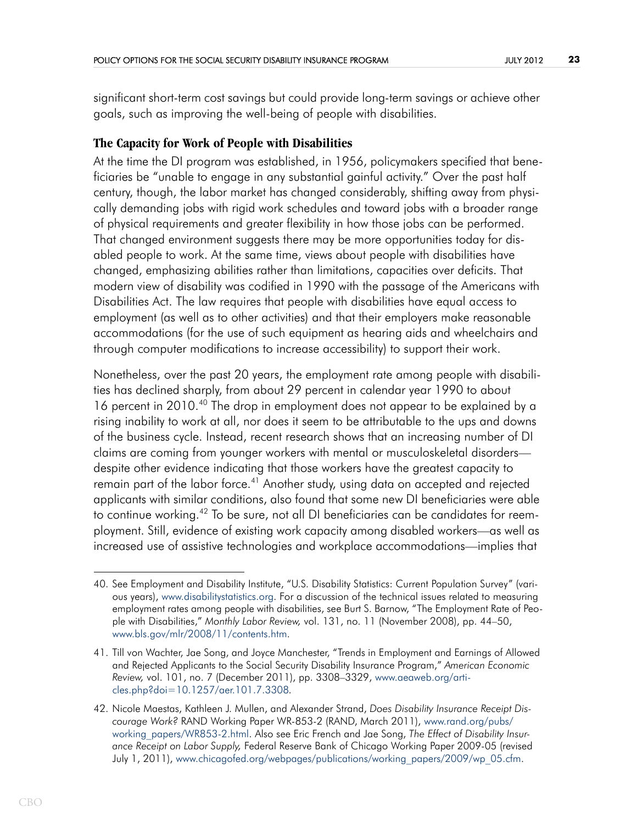significant short-term cost savings but could provide long-term savings or achieve other goals, such as improving the well-being of people with disabilities.

### **The Capacity for Work of People with Disabilities**

At the time the DI program was established, in 1956, policymakers specified that beneficiaries be "unable to engage in any substantial gainful activity." Over the past half century, though, the labor market has changed considerably, shifting away from physically demanding jobs with rigid work schedules and toward jobs with a broader range of physical requirements and greater flexibility in how those jobs can be performed. That changed environment suggests there may be more opportunities today for disabled people to work. At the same time, views about people with disabilities have changed, emphasizing abilities rather than limitations, capacities over deficits. That modern view of disability was codified in 1990 with the passage of the Americans with Disabilities Act. The law requires that people with disabilities have equal access to employment (as well as to other activities) and that their employers make reasonable accommodations (for the use of such equipment as hearing aids and wheelchairs and through computer modifications to increase accessibility) to support their work.

Nonetheless, over the past 20 years, the employment rate among people with disabilities has declined sharply, from about 29 percent in calendar year 1990 to about 16 percent in 2010.<sup>40</sup> The drop in employment does not appear to be explained by a rising inability to work at all, nor does it seem to be attributable to the ups and downs of the business cycle. Instead, recent research shows that an increasing number of DI claims are coming from younger workers with mental or musculoskeletal disorders despite other evidence indicating that those workers have the greatest capacity to remain part of the labor force.<sup>41</sup> Another study, using data on accepted and rejected applicants with similar conditions, also found that some new DI beneficiaries were able to continue working.42 To be sure, not all DI beneficiaries can be candidates for reemployment. Still, evidence of existing work capacity among disabled workers—as well as increased use of assistive technologies and workplace accommodations—implies that

<sup>40.</sup> See Employment and Disability Institute, "U.S. Disability Statistics: Current Population Survey" (various years), [www.disabilitystatistics.org](http://www.disabilitystatistics.org). For a discussion of the technical issues related to measuring employment rates among people with disabilities, see Burt S. Barnow, "The Employment Rate of People with Disabilities," *Monthly Labor Review,* vol. 131, no. 11 (November 2008), pp. 44–50, [www.bls.gov/mlr/2008/11/contents.htm.](http://www.bls.gov/mlr/2008/11/contents.htm)

<sup>41.</sup> Till von Wachter, Jae Song, and Joyce Manchester, "Trends in Employment and Earnings of Allowed and Rejected Applicants to the Social Security Disability Insurance Program," *American Economic Review,* vol. 101, no. 7 (December 2011), pp. 3308–3329, [www.aeaweb.org/arti](http://www.aeaweb.org/articles.php?doi=10.1257/aer.101.7.3308)[cles.php?doi=10.1257/aer.101.7.3308](http://www.aeaweb.org/articles.php?doi=10.1257/aer.101.7.3308)*.*

<sup>42.</sup> Nicole Maestas, Kathleen J. Mullen, and Alexander Strand, *Does Disability Insurance Receipt Discourage Work?* RAND Working Paper WR-853-2 (RAND, March 2011), [www.rand.org/pubs/](http://www.rand.org/pubs/working_papers/WR853-2.html) [working\\_papers/WR853-2.html](http://www.rand.org/pubs/working_papers/WR853-2.html). Also see Eric French and Jae Song, *The Effect of Disability Insurance Receipt on Labor Supply,* Federal Reserve Bank of Chicago Working Paper 2009-05 (revised July 1, 2011), [www.chicagofed.org/webpages/publications/working\\_papers/2009/wp\\_05.cfm.](http://www.chicagofed.org/webpages/publications/working_papers/2009/wp_05.cfm)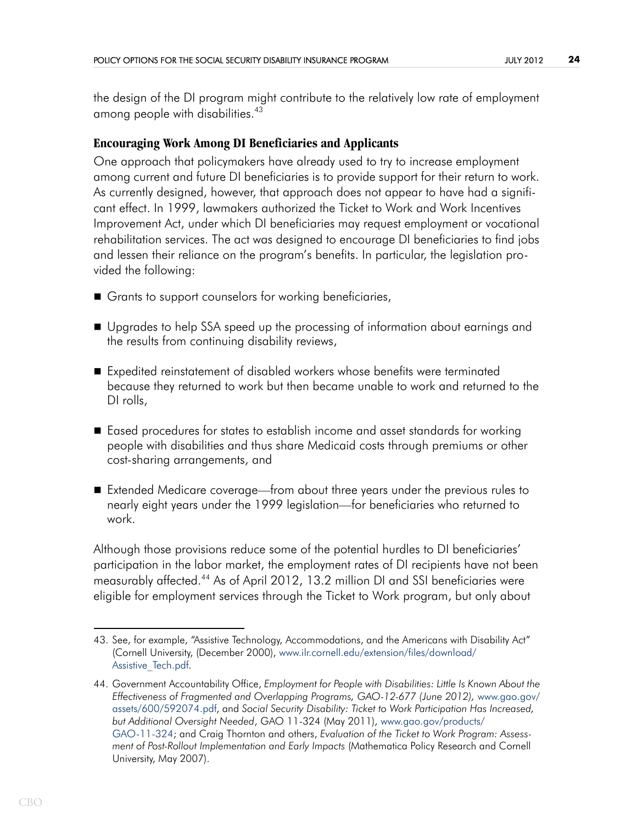the design of the DI program might contribute to the relatively low rate of employment among people with disabilities.<sup>43</sup>

### **Encouraging Work Among DI Beneficiaries and Applicants**

One approach that policymakers have already used to try to increase employment among current and future DI beneficiaries is to provide support for their return to work. As currently designed, however, that approach does not appear to have had a significant effect. In 1999, lawmakers authorized the Ticket to Work and Work Incentives Improvement Act, under which DI beneficiaries may request employment or vocational rehabilitation services. The act was designed to encourage DI beneficiaries to find jobs and lessen their reliance on the program's benefits. In particular, the legislation provided the following:

- Grants to support counselors for working beneficiaries,
- Upgrades to help SSA speed up the processing of information about earnings and the results from continuing disability reviews,
- Expedited reinstatement of disabled workers whose benefits were terminated because they returned to work but then became unable to work and returned to the DI rolls,
- Eased procedures for states to establish income and asset standards for working people with disabilities and thus share Medicaid costs through premiums or other cost-sharing arrangements, and
- Extended Medicare coverage—from about three years under the previous rules to nearly eight years under the 1999 legislation—for beneficiaries who returned to work.

Although those provisions reduce some of the potential hurdles to DI beneficiaries' participation in the labor market, the employment rates of DI recipients have not been measurably affected.44 As of April 2012, 13.2 million DI and SSI beneficiaries were eligible for employment services through the Ticket to Work program, but only about

<sup>43.</sup> See, for example, "Assistive Technology, Accommodations, and the Americans with Disability Act" (Cornell University, (December 2000), [www.ilr.cornell.edu/extension/files/download/](http://www.ilr.cornell.edu/extension/files/download/Assistive_Tech.pdf) [Assistive\\_Tech.pdf.](http://www.ilr.cornell.edu/extension/files/download/Assistive_Tech.pdf)

<sup>44.</sup> Government Accountability Office, *Employment for People with Disabilities: Little Is Known About the*  Effectiveness of Fragmented and Overlapping Programs, GAO-12-677 (June 2012), [www.gao.gov/](http://www.gao.gov/assets/600/592074.pdf) [assets/600/592074.pdf](http://www.gao.gov/assets/600/592074.pdf), and *Social Security Disability: Ticket to Work Participation Has Increased, but Additional Oversight Needed*, GAO 11-324 (May 2011), [www.gao.gov/products/](http://www.gao.gov/products/GAO-11-324) [GAO-11-324;](http://www.gao.gov/products/GAO-11-324) and Craig Thornton and others, *Evaluation of the Ticket to Work Program: Assessment of Post-Rollout Implementation and Early Impacts* (Mathematica Policy Research and Cornell University, May 2007).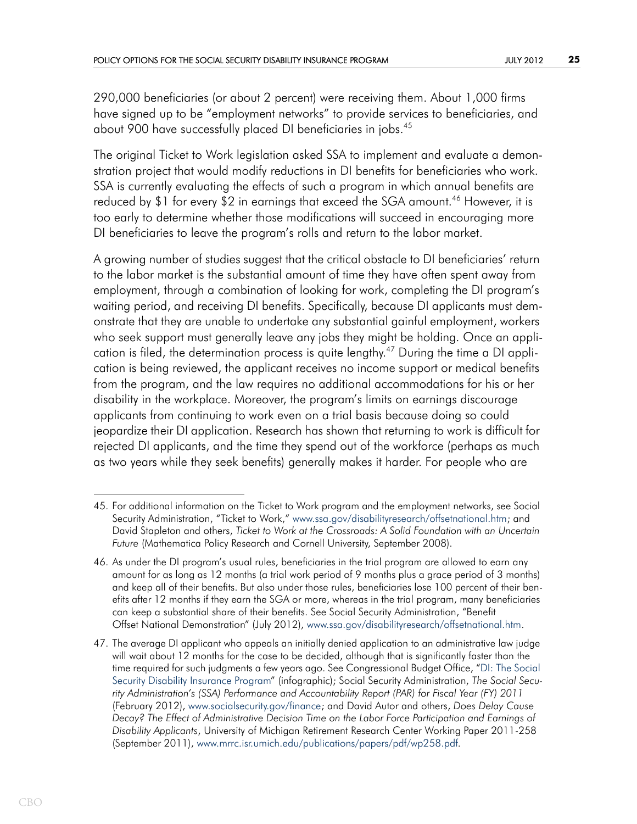290,000 beneficiaries (or about 2 percent) were receiving them. About 1,000 firms have signed up to be "employment networks" to provide services to beneficiaries, and about 900 have successfully placed DI beneficiaries in jobs.<sup>45</sup>

The original Ticket to Work legislation asked SSA to implement and evaluate a demonstration project that would modify reductions in DI benefits for beneficiaries who work. SSA is currently evaluating the effects of such a program in which annual benefits are reduced by \$1 for every \$2 in earnings that exceed the SGA amount.<sup>46</sup> However, it is too early to determine whether those modifications will succeed in encouraging more DI beneficiaries to leave the program's rolls and return to the labor market.

A growing number of studies suggest that the critical obstacle to DI beneficiaries' return to the labor market is the substantial amount of time they have often spent away from employment, through a combination of looking for work, completing the DI program's waiting period, and receiving DI benefits. Specifically, because DI applicants must demonstrate that they are unable to undertake any substantial gainful employment, workers who seek support must generally leave any jobs they might be holding. Once an application is filed, the determination process is quite lengthy.<sup>47</sup> During the time a DI application is being reviewed, the applicant receives no income support or medical benefits from the program, and the law requires no additional accommodations for his or her disability in the workplace. Moreover, the program's limits on earnings discourage applicants from continuing to work even on a trial basis because doing so could jeopardize their DI application. Research has shown that returning to work is difficult for rejected DI applicants, and the time they spend out of the workforce (perhaps as much as two years while they seek benefits) generally makes it harder. For people who are

<sup>45.</sup> For additional information on the Ticket t[o Work program and the employment networks, see Social](http://www.ssa.gov/disabilityresearch/
offsetnational.htm)  [Security Administration,](http://www.ssa.gov/disabilityresearch/
offsetnational.htm) "Ticket to Work," www.ssa.gov/disabilityresearch/offsetnational.htm; and David Stapleton and others, *Ticket to Work at the Crossroads: A Solid Foundation with an Uncertain Future* (Mathematica Policy Research and Cornell University, September 2008).

<sup>46.</sup> As under the DI program's usual rules, beneficiaries in the trial program are allowed to earn any amount for as long as 12 months (a trial work period of 9 months plus a grace period of 3 months) and keep all of their benefits. But also under those rules, beneficiaries lose 100 percent of their benefits after 12 months if they earn the SGA or more, whereas in the trial program, many beneficiaries can keep a substantial share of their benefits. See Social Security Administration, "Benefit Offset National Demonstration" (July 2012), [www.ssa.gov/disabilityresearch/offsetnational.htm.](http://www.ssa.gov/disabilityresearch/offsetnational.htm) 

[<sup>47.</sup> The average DI applicant who appea](http://www.ssa.gov/disabilityresearch/offsetnational.htm)ls an initially denied application to an administrative law judge will wait about 12 months for the case to be decided, although that is significantly faster than the time required for such judgments a few years ago. See Congressional Budget Office, ["DI: The Social](http://www.cbo.gov/publication/43432)  [Security Disability Insurance Program" \(](http://www.cbo.gov/publication/43432)infographic); Social Security Administration, *The Social Security Administration's (SSA) Performance and Accountability Report (PAR) for Fiscal Year (FY) 2011* (February 2012), [www.socialsecurity.gov/finance;](http://www.socialsecurity.gov/finance/) and David Autor and others, *Does Delay Cause Decay? The Effect of Administrative Decision Time on the Labor Force Participation and Earnings of Disability Applicants*, University of Michigan Retirement Research Center Working Paper 2011-258 (September 2011), [www.mrrc.isr.umich.edu/publications/papers/pdf/wp258.pdf.](http://www.mrrc.isr.umich.edu/publications/papers/pdf/wp258.pdf)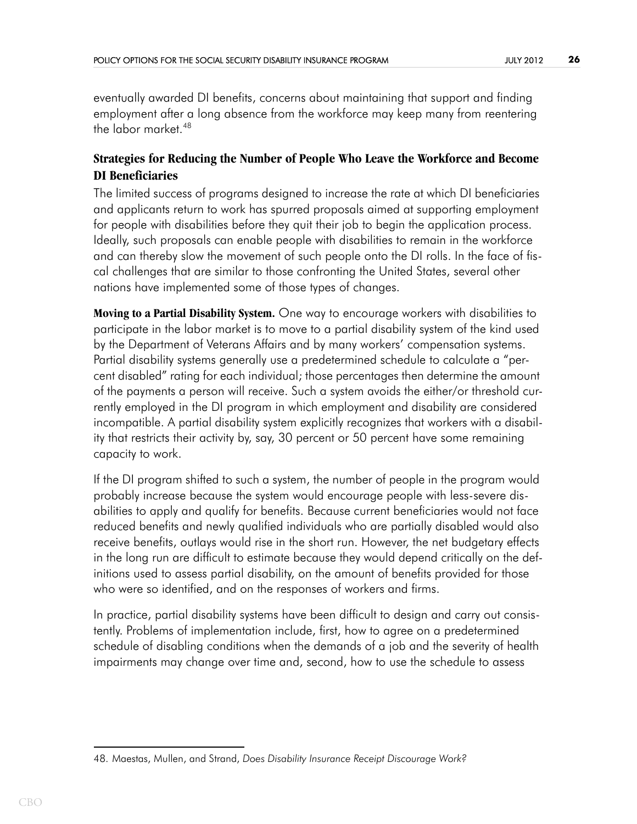eventually awarded DI benefits, concerns about maintaining that support and finding employment after a long absence from the workforce may keep many from reentering the labor market.48

## **Strategies for Reducing the Number of People Who Leave the Workforce and Become DI Beneficiaries**

The limited success of programs designed to increase the rate at which DI beneficiaries and applicants return to work has spurred proposals aimed at supporting employment for people with disabilities before they quit their job to begin the application process. Ideally, such proposals can enable people with disabilities to remain in the workforce and can thereby slow the movement of such people onto the DI rolls. In the face of fiscal challenges that are similar to those confronting the United States, several other nations have implemented some of those types of changes.

**Moving to a Partial Disability System.** One way to encourage workers with disabilities to participate in the labor market is to move to a partial disability system of the kind used by the Department of Veterans Affairs and by many workers' compensation systems. Partial disability systems generally use a predetermined schedule to calculate a "percent disabled" rating for each individual; those percentages then determine the amount of the payments a person will receive. Such a system avoids the either/or threshold currently employed in the DI program in which employment and disability are considered incompatible. A partial disability system explicitly recognizes that workers with a disability that restricts their activity by, say, 30 percent or 50 percent have some remaining capacity to work.

If the DI program shifted to such a system, the number of people in the program would probably increase because the system would encourage people with less-severe disabilities to apply and qualify for benefits. Because current beneficiaries would not face reduced benefits and newly qualified individuals who are partially disabled would also receive benefits, outlays would rise in the short run. However, the net budgetary effects in the long run are difficult to estimate because they would depend critically on the definitions used to assess partial disability, on the amount of benefits provided for those who were so identified, and on the responses of workers and firms.

In practice, partial disability systems have been difficult to design and carry out consistently. Problems of implementation include, first, how to agree on a predetermined schedule of disabling conditions when the demands of a job and the severity of health impairments may change over time and, second, how to use the schedule to assess

<sup>48.</sup> Maestas, Mullen, and Strand, *Does Disability Insurance Receipt Discourage Work?*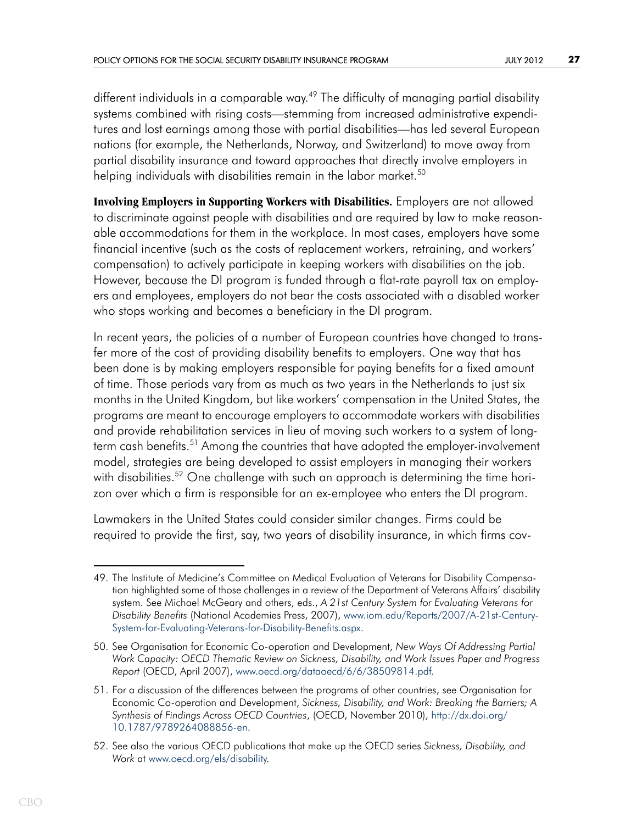different individuals in a comparable way.<sup>49</sup> The difficulty of managing partial disability systems combined with rising costs—stemming from increased administrative expenditures and lost earnings among those with partial disabilities—has led several European nations (for example, the Netherlands, Norway, and Switzerland) to move away from partial disability insurance and toward approaches that directly involve employers in helping individuals with disabilities remain in the labor market.<sup>50</sup>

**Involving Employers in Supporting Workers with Disabilities.** Employers are not allowed to discriminate against people with disabilities and are required by law to make reasonable accommodations for them in the workplace. In most cases, employers have some financial incentive (such as the costs of replacement workers, retraining, and workers' compensation) to actively participate in keeping workers with disabilities on the job. However, because the DI program is funded through a flat-rate payroll tax on employers and employees, employers do not bear the costs associated with a disabled worker who stops working and becomes a beneficiary in the DI program.

In recent years, the policies of a number of European countries have changed to transfer more of the cost of providing disability benefits to employers. One way that has been done is by making employers responsible for paying benefits for a fixed amount of time. Those periods vary from as much as two years in the Netherlands to just six months in the United Kingdom, but like workers' compensation in the United States, the programs are meant to encourage employers to accommodate workers with disabilities and provide rehabilitation services in lieu of moving such workers to a system of longterm cash benefits.<sup>51</sup> Among the countries that have adopted the employer-involvement model, strategies are being developed to assist employers in managing their workers with disabilities.<sup>52</sup> One challenge with such an approach is determining the time horizon over which a firm is responsible for an ex-employee who enters the DI program.

Lawmakers in the United States could consider similar changes. Firms could be required to provide the first, say, two years of disability insurance, in which firms cov-

<sup>49.</sup> The Institute of Medicine's Committee on Medical Evaluation of Veterans for Disability Compensation highlighted some of those challenges in a review of the Department of Veterans Affairs' disability system. See Michael McGeary and others, eds., *A 21st Century System for Evaluating Veterans for Disability Benefits* (National Academies Press, 2007), [www.iom.edu/Reports/2007/A-21st-Century-](http://www.iom.edu/Reports/2007/A-21st-Century-System-for-Evaluating-Veterans-for-Disability-Benefits.aspx)[System-for-Evaluating-Veterans-for-Disability-Benefits.aspx.](http://www.iom.edu/Reports/2007/A-21st-Century-System-for-Evaluating-Veterans-for-Disability-Benefits.aspx)

<sup>50.</sup> See Organisation for Economic Co-operation and Development, *New Ways Of Addressing Partial Work Capacity: OECD Thematic Review on Sickness, Disability, and Work Issues Paper and Progress Report* (OECD, April 2007), [www.oecd.org/dataoecd/6/6/38509814.pdf.](http://www.oecd.org/dataoecd/6/6/38509814.pdf)

<sup>51.</sup> For a discussion of the differences between the programs of other countries, see Organisation for Economic Co-operation and Development, *Sickness, Disability, and Work: Breaking the Barriers; A Synthesis of Findings Across OECD Countries*, (OECD, November 2010), [http://dx.doi.org/](http://dx.doi.org/10.1787/9789264088856-en) [10.1787/9789264088856-en](http://dx.doi.org/10.1787/9789264088856-en).

<sup>52.</sup> See also the various OECD publications that make up the OECD series *Sickness, Disability, and Work* at [www.oecd.org/els/disability.](http://www.oecd.org/els/disability)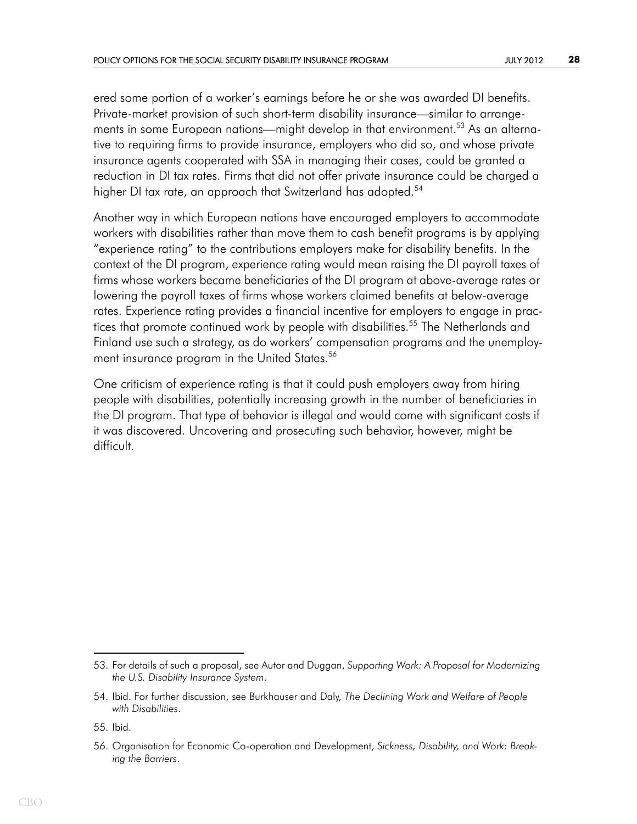ered some portion of a worker's earnings before he or she was awarded DI benefits. Private-market provision of such short-term disability insurance—similar to arrangements in some European nations—might develop in that environment.<sup>53</sup> As an alternative to requiring firms to provide insurance, employers who did so, and whose private insurance agents cooperated with SSA in managing their cases, could be granted a reduction in DI tax rates. Firms that did not offer private insurance could be charged a higher DI tax rate, an approach that Switzerland has adopted.<sup>54</sup>

Another way in which European nations have encouraged employers to accommodate workers with disabilities rather than move them to cash benefit programs is by applying "experience rating" to the contributions employers make for disability benefits. In the context of the DI program, experience rating would mean raising the DI payroll taxes of firms whose workers became beneficiaries of the DI program at above-average rates or lowering the payroll taxes of firms whose workers claimed benefits at below-average rates. Experience rating provides a financial incentive for employers to engage in practices that promote continued work by people with disabilities.<sup>55</sup> The Netherlands and Finland use such a strategy, as do workers' compensation programs and the unemployment insurance program in the United States.<sup>56</sup>

One criticism of experience rating is that it could push employers away from hiring people with disabilities, potentially increasing growth in the number of beneficiaries in the DI program. That type of behavior is illegal and would come with significant costs if it was discovered. Uncovering and prosecuting such behavior, however, might be difficult.

<sup>53.</sup> For details of such a proposal, see Autor and Duggan, *Supporting Work: A Proposal for Modernizing the U.S. Disability Insurance System*.

<sup>54.</sup> Ibid. For further discussion, see Burkhauser and Daly, *The Declining Work and Welfare of People with Disabilities*.

<sup>55.</sup> Ibid.

<sup>56.</sup> Organisation for Economic Co-operation and Development, *Sickness, Disability, and Work: Breaking the Barriers*.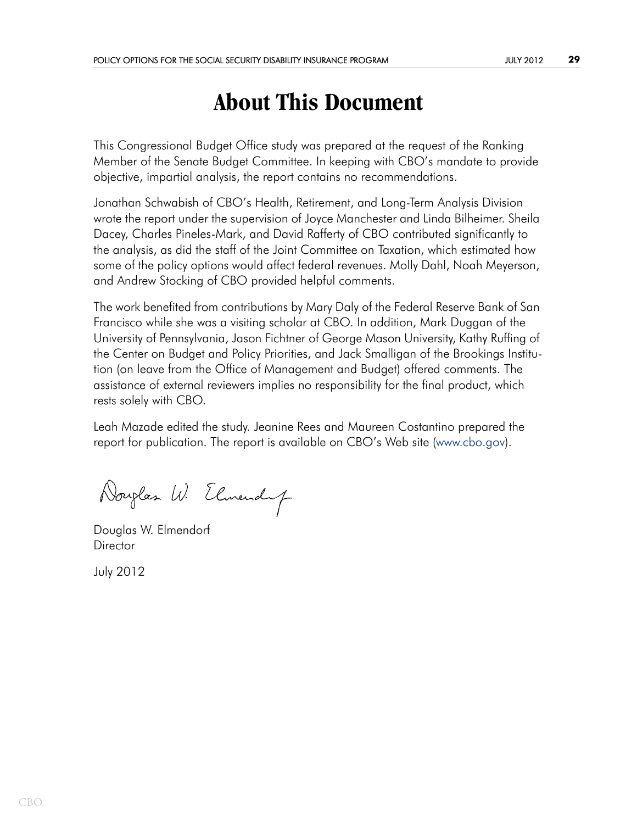# **About This Document**

This Congressional Budget Office study was prepared at the request of the Ranking Member of the Senate Budget Committee. In keeping with CBO's mandate to provide objective, impartial analysis, the report contains no recommendations.

Jonathan Schwabish of CBO's Health, Retirement, and Long-Term Analysis Division wrote the report under the supervision of Joyce Manchester and Linda Bilheimer. Sheila Dacey, Charles Pineles-Mark, and David Rafferty of CBO contributed significantly to the analysis, as did the staff of the Joint Committee on Taxation, which estimated how some of the policy options would affect federal revenues. Molly Dahl, Noah Meyerson, and Andrew Stocking of CBO provided helpful comments.

The work benefited from contributions by Mary Daly of the Federal Reserve Bank of San Francisco while she was a visiting scholar at CBO. In addition, Mark Duggan of the University of Pennsylvania, Jason Fichtner of George Mason University, Kathy Ruffing of the Center on Budget and Policy Priorities, and Jack Smalligan of the Brookings Institution (on leave from the Office of Management and Budget) offered comments. The assistance of external reviewers implies no responsibility for the final product, which rests solely with CBO.

Leah Mazade edited the study. Jeanine Rees and Maureen Costantino prepared the report for publication. The report is available on CBO's Web site [\(www.cbo.gov\)](http://www.cbo.gov).

Douglas W. Elmendy

Douglas W. Elmendorf **Director** 

July 2012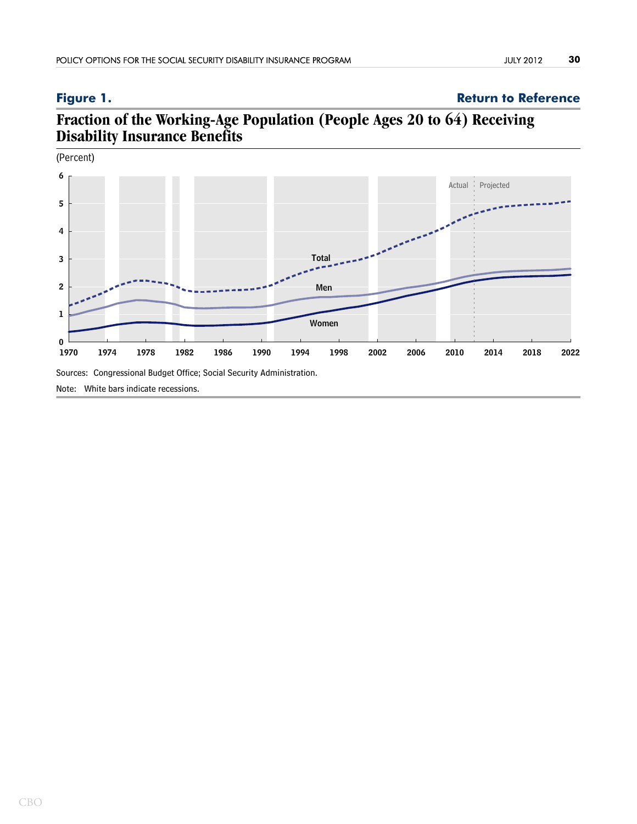## <span id="page-29-0"></span>**Figure 1. Return to Reference**

## **Fraction of the Working-Age Population (People Ages 20 to 64) Receiving Disability Insurance Benefits**



Note: White bars indicate recessions.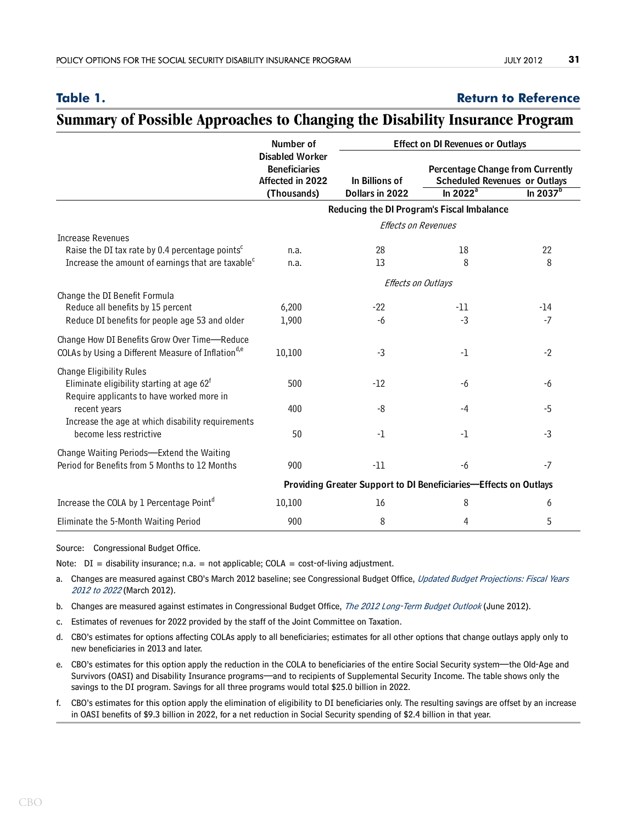### <span id="page-30-0"></span>**Table 1. [Return to Reference](#page-11-0)**

## **Summary of Possible Approaches to Changing the Disability Insurance Program**

|                                                                                                                | Number of<br><b>Disabled Worker</b><br><b>Beneficiaries</b><br>Affected in 2022<br>(Thousands) | <b>Effect on DI Revenues or Outlays</b> |              |                                                                                                |
|----------------------------------------------------------------------------------------------------------------|------------------------------------------------------------------------------------------------|-----------------------------------------|--------------|------------------------------------------------------------------------------------------------|
|                                                                                                                |                                                                                                | In Billions of<br>Dollars in 2022       | $\ln 2022^a$ | <b>Percentage Change from Currently</b><br><b>Scheduled Revenues or Outlays</b><br>In $2037^b$ |
|                                                                                                                | Reducing the DI Program's Fiscal Imbalance                                                     |                                         |              |                                                                                                |
|                                                                                                                | Effects on Revenues                                                                            |                                         |              |                                                                                                |
| <b>Increase Revenues</b>                                                                                       |                                                                                                |                                         |              |                                                                                                |
| Raise the DI tax rate by 0.4 percentage points <sup>c</sup>                                                    | n.a.                                                                                           | 28                                      | 18           | 22                                                                                             |
| Increase the amount of earnings that are taxable <sup>c</sup>                                                  | n.a.                                                                                           | 13                                      | 8            | 8                                                                                              |
|                                                                                                                | Effects on Outlays                                                                             |                                         |              |                                                                                                |
| Change the DI Benefit Formula                                                                                  |                                                                                                |                                         |              |                                                                                                |
| Reduce all benefits by 15 percent                                                                              | 6,200                                                                                          | $-22$                                   | $-11$        | $-14$                                                                                          |
| Reduce DI benefits for people age 53 and older                                                                 | 1,900                                                                                          | $-6$                                    | $-3$         | $-7$                                                                                           |
| Change How DI Benefits Grow Over Time-Reduce<br>COLAs by Using a Different Measure of Inflation <sup>d,e</sup> | 10,100                                                                                         | $-3$                                    | $-1$         | $-2$                                                                                           |
| <b>Change Eligibility Rules</b>                                                                                |                                                                                                |                                         |              |                                                                                                |
| Eliminate eligibility starting at age 62 <sup>f</sup><br>Require applicants to have worked more in             | 500                                                                                            | $-12$                                   | -6           | -6                                                                                             |
| recent years                                                                                                   | 400                                                                                            | $-8$                                    | -4           | $-5$                                                                                           |
| Increase the age at which disability requirements<br>become less restrictive                                   | 50                                                                                             | $-1$                                    | -1           | $-3$                                                                                           |
| Change Waiting Periods-Extend the Waiting<br>Period for Benefits from 5 Months to 12 Months                    | 900                                                                                            | $-11$                                   | $-6$         | $-7$                                                                                           |
|                                                                                                                | Providing Greater Support to DI Beneficiaries-Effects on Outlays                               |                                         |              |                                                                                                |
| Increase the COLA by 1 Percentage Pointd                                                                       | 10,100                                                                                         | 16                                      | 8            | 6                                                                                              |
|                                                                                                                |                                                                                                |                                         |              |                                                                                                |
| Eliminate the 5-Month Waiting Period                                                                           | 900                                                                                            | 8                                       | 4            | 5                                                                                              |

Source: Congressional Budget Office.

Note:  $DI =$  disability insurance; n.a. = not applicable; COLA = cost-of-living adjustment.

- a. Changes are measured against CBO's March 2012 baseline; see Congressional Budget Office, Updated Budget Projections: Fiscal Years [2012 to 2022](http://www.cbo.gov/publication/43119) (March 2012).
- b. Changes are measured against estimates in Congressional Budget Office, [The 2012 Long-Term Budget Outlook](http://www.cbo.gov/publication/43288 ) (June 2012).
- c. Estimates of revenues for 2022 provided by the staff of the Joint Committee on Taxation.
- d. CBO's estimates for options affecting COLAs apply to all beneficiaries; estimates for all other options that change outlays apply only to new beneficiaries in 2013 and later.
- e. CBO's estimates for this option apply the reduction in the COLA to beneficiaries of the entire Social Security system—the Old-Age and Survivors (OASI) and Disability Insurance programs—and to recipients of Supplemental Security Income. The table shows only the savings to the DI program. Savings for all three programs would total \$25.0 billion in 2022.
- f. CBO's estimates for this option apply the elimination of eligibility to DI beneficiaries only. The resulting savings are offset by an increase in OASI benefits of \$9.3 billion in 2022, for a net reduction in Social Security spending of \$2.4 billion in that year.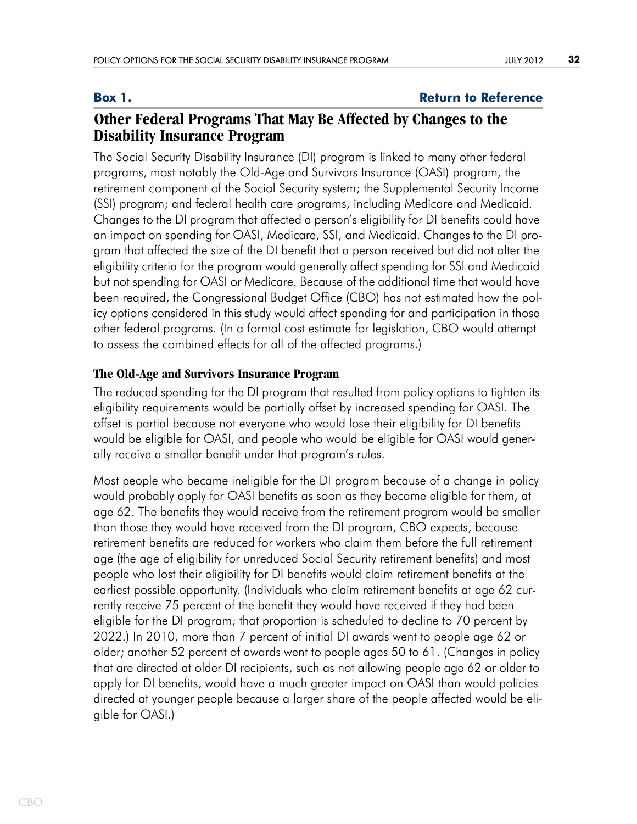### <span id="page-31-0"></span>**Box 1. Box 1. Return to Reference**

## **Other Federal Programs That May Be Affected by Changes to the Disability Insurance Program**

The Social Security Disability Insurance (DI) program is linked to many other federal programs, most notably the Old-Age and Survivors Insurance (OASI) program, the retirement component of the Social Security system; the Supplemental Security Income (SSI) program; and federal health care programs, including Medicare and Medicaid. Changes to the DI program that affected a person's eligibility for DI benefits could have an impact on spending for OASI, Medicare, SSI, and Medicaid. Changes to the DI program that affected the size of the DI benefit that a person received but did not alter the eligibility criteria for the program would generally affect spending for SSI and Medicaid but not spending for OASI or Medicare. Because of the additional time that would have been required, the Congressional Budget Office (CBO) has not estimated how the policy options considered in this study would affect spending for and participation in those other federal programs. (In a formal cost estimate for legislation, CBO would attempt to assess the combined effects for all of the affected programs.)

## **The Old-Age and Survivors Insurance Program**

The reduced spending for the DI program that resulted from policy options to tighten its eligibility requirements would be partially offset by increased spending for OASI. The offset is partial because not everyone who would lose their eligibility for DI benefits would be eligible for OASI, and people who would be eligible for OASI would generally receive a smaller benefit under that program's rules.

Most people who became ineligible for the DI program because of a change in policy would probably apply for OASI benefits as soon as they became eligible for them, at age 62. The benefits they would receive from the retirement program would be smaller than those they would have received from the DI program, CBO expects, because retirement benefits are reduced for workers who claim them before the full retirement age (the age of eligibility for unreduced Social Security retirement benefits) and most people who lost their eligibility for DI benefits would claim retirement benefits at the earliest possible opportunity. (Individuals who claim retirement benefits at age 62 currently receive 75 percent of the benefit they would have received if they had been eligible for the DI program; that proportion is scheduled to decline to 70 percent by 2022.) In 2010, more than 7 percent of initial DI awards went to people age 62 or older; another 52 percent of awards went to people ages 50 to 61. (Changes in policy that are directed at older DI recipients, such as not allowing people age 62 or older to apply for DI benefits, would have a much greater impact on OASI than would policies directed at younger people because a larger share of the people affected would be eligible for OASI.)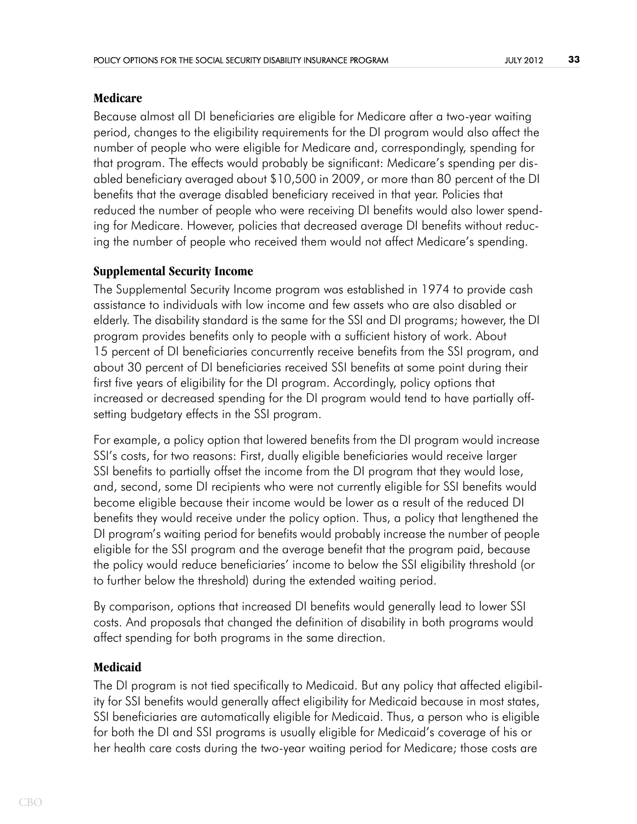### **Medicare**

Because almost all DI beneficiaries are eligible for Medicare after a two-year waiting period, changes to the eligibility requirements for the DI program would also affect the number of people who were eligible for Medicare and, correspondingly, spending for that program. The effects would probably be significant: Medicare's spending per disabled beneficiary averaged about \$10,500 in 2009, or more than 80 percent of the DI benefits that the average disabled beneficiary received in that year. Policies that reduced the number of people who were receiving DI benefits would also lower spending for Medicare. However, policies that decreased average DI benefits without reducing the number of people who received them would not affect Medicare's spending.

## **Supplemental Security Income**

The Supplemental Security Income program was established in 1974 to provide cash assistance to individuals with low income and few assets who are also disabled or elderly. The disability standard is the same for the SSI and DI programs; however, the DI program provides benefits only to people with a sufficient history of work. About 15 percent of DI beneficiaries concurrently receive benefits from the SSI program, and about 30 percent of DI beneficiaries received SSI benefits at some point during their first five years of eligibility for the DI program. Accordingly, policy options that increased or decreased spending for the DI program would tend to have partially offsetting budgetary effects in the SSI program.

For example, a policy option that lowered benefits from the DI program would increase SSI's costs, for two reasons: First, dually eligible beneficiaries would receive larger SSI benefits to partially offset the income from the DI program that they would lose, and, second, some DI recipients who were not currently eligible for SSI benefits would become eligible because their income would be lower as a result of the reduced DI benefits they would receive under the policy option. Thus, a policy that lengthened the DI program's waiting period for benefits would probably increase the number of people eligible for the SSI program and the average benefit that the program paid, because the policy would reduce beneficiaries' income to below the SSI eligibility threshold (or to further below the threshold) during the extended waiting period.

By comparison, options that increased DI benefits would generally lead to lower SSI costs. And proposals that changed the definition of disability in both programs would affect spending for both programs in the same direction.

### **Medicaid**

The DI program is not tied specifically to Medicaid. But any policy that affected eligibility for SSI benefits would generally affect eligibility for Medicaid because in most states, SSI beneficiaries are automatically eligible for Medicaid. Thus, a person who is eligible for both the DI and SSI programs is usually eligible for Medicaid's coverage of his or her health care costs during the two-year waiting period for Medicare; those costs are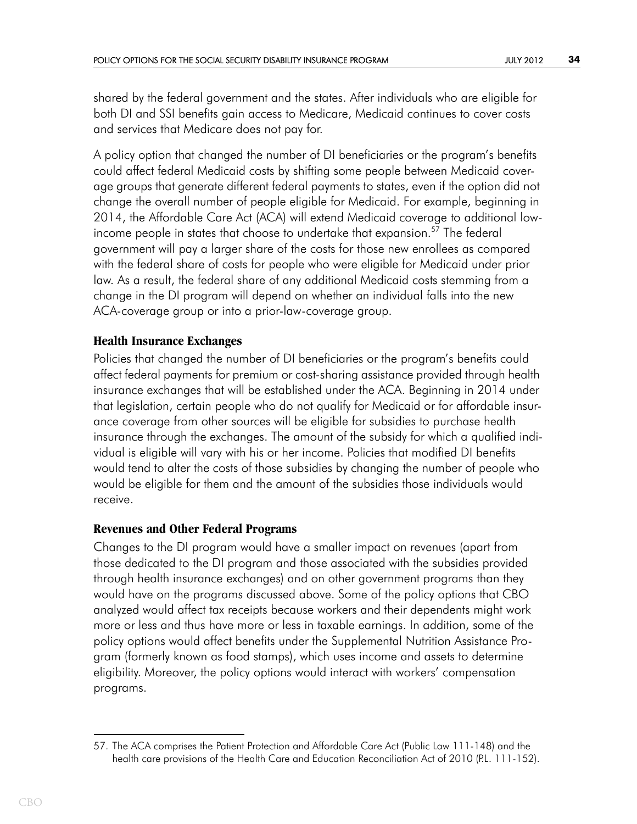shared by the federal government and the states. After individuals who are eligible for both DI and SSI benefits gain access to Medicare, Medicaid continues to cover costs and services that Medicare does not pay for.

A policy option that changed the number of DI beneficiaries or the program's benefits could affect federal Medicaid costs by shifting some people between Medicaid coverage groups that generate different federal payments to states, even if the option did not change the overall number of people eligible for Medicaid. For example, beginning in 2014, the Affordable Care Act (ACA) will extend Medicaid coverage to additional lowincome people in states that choose to undertake that expansion.<sup>57</sup> The federal government will pay a larger share of the costs for those new enrollees as compared with the federal share of costs for people who were eligible for Medicaid under prior law. As a result, the federal share of any additional Medicaid costs stemming from a change in the DI program will depend on whether an individual falls into the new ACA-coverage group or into a prior-law-coverage group.

## **Health Insurance Exchanges**

Policies that changed the number of DI beneficiaries or the program's benefits could affect federal payments for premium or cost-sharing assistance provided through health insurance exchanges that will be established under the ACA. Beginning in 2014 under that legislation, certain people who do not qualify for Medicaid or for affordable insurance coverage from other sources will be eligible for subsidies to purchase health insurance through the exchanges. The amount of the subsidy for which a qualified individual is eligible will vary with his or her income. Policies that modified DI benefits would tend to alter the costs of those subsidies by changing the number of people who would be eligible for them and the amount of the subsidies those individuals would receive.

## **Revenues and Other Federal Programs**

Changes to the DI program would have a smaller impact on revenues (apart from those dedicated to the DI program and those associated with the subsidies provided through health insurance exchanges) and on other government programs than they would have on the programs discussed above. Some of the policy options that CBO analyzed would affect tax receipts because workers and their dependents might work more or less and thus have more or less in taxable earnings. In addition, some of the policy options would affect benefits under the Supplemental Nutrition Assistance Program (formerly known as food stamps), which uses income and assets to determine eligibility. Moreover, the policy options would interact with workers' compensation programs.

<sup>57.</sup> The ACA comprises the Patient Protection and Affordable Care Act (Public Law 111-148) and the health care provisions of the Health Care and Education Reconciliation Act of 2010 (P.L. 111-152).